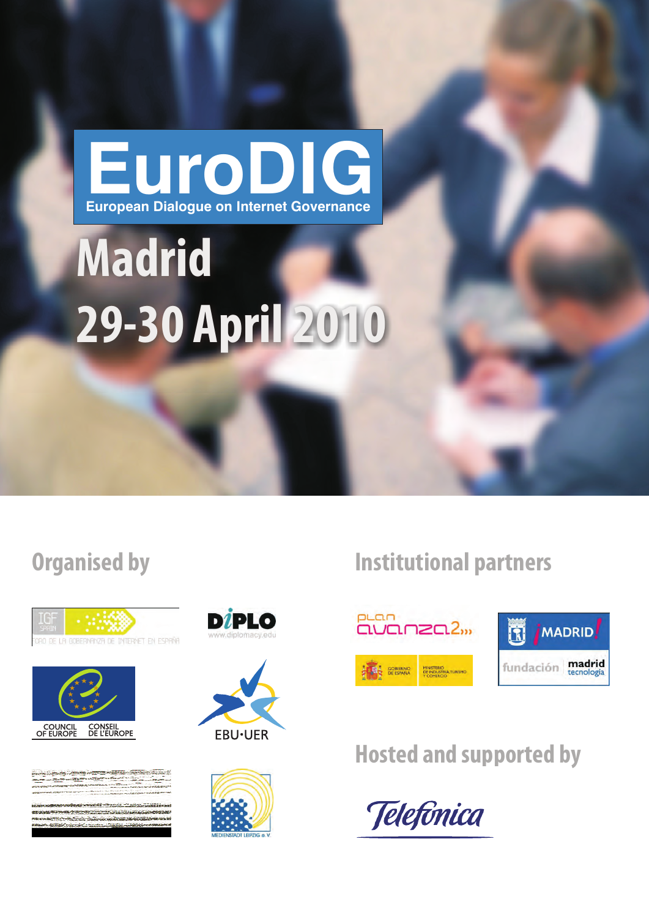# **EuroDIG European Dialogue on Internet Governance**

# **Madrid 29-30 April 2010**







Bundesamt für Kommunikation BAKOM pannesamt tur Kommunication OFCOM<br>Office fédéral de la communication OFCOM<br>Ufficio federale delle comunicazioni UFCOM<br>Uffizi federal da communicazion UFCOM







## **Organised by Institutional partners**





# **Hosted and supported by**

Telefônica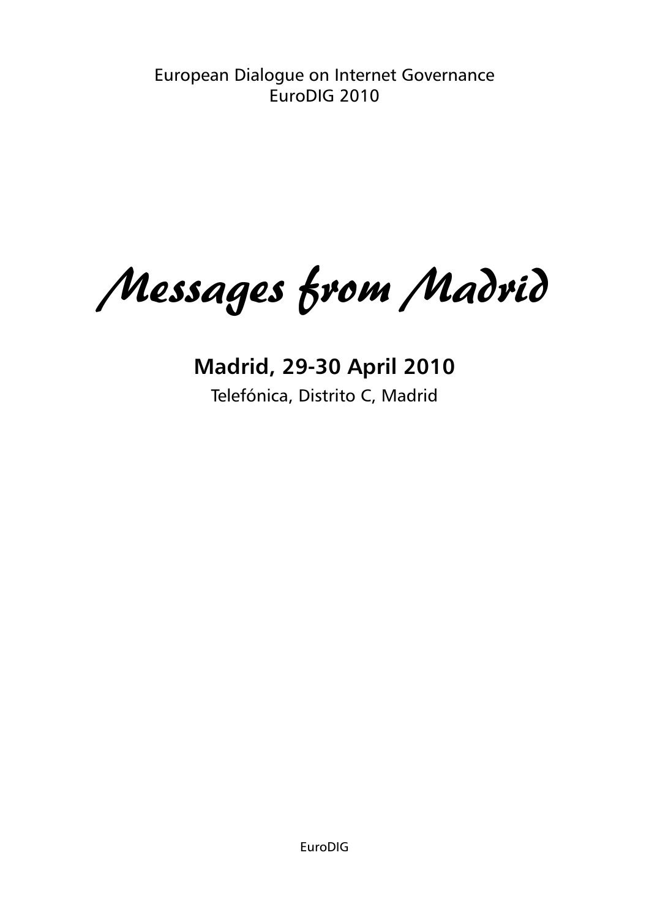European Dialogue on Internet Governance EuroDIG 2010

Messages from Madrid

**Madrid, 29-30 April 2010** Telefónica, Distrito C, Madrid

EuroDIG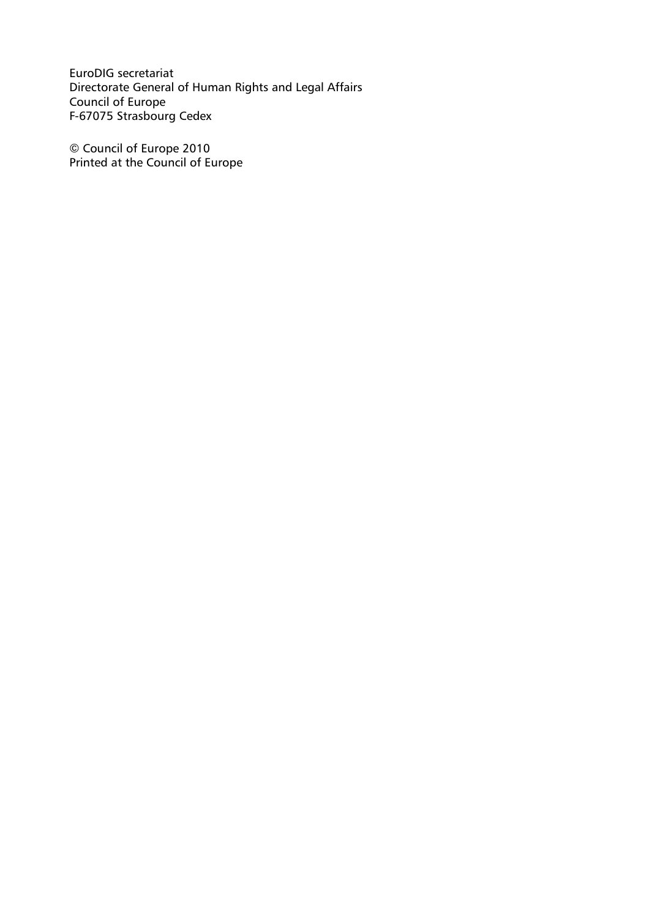EuroDIG secretariat Directorate General of Human Rights and Legal Affairs Council of Europe F-67075 Strasbourg Cedex

© Council of Europe 2010 Printed at the Council of Europe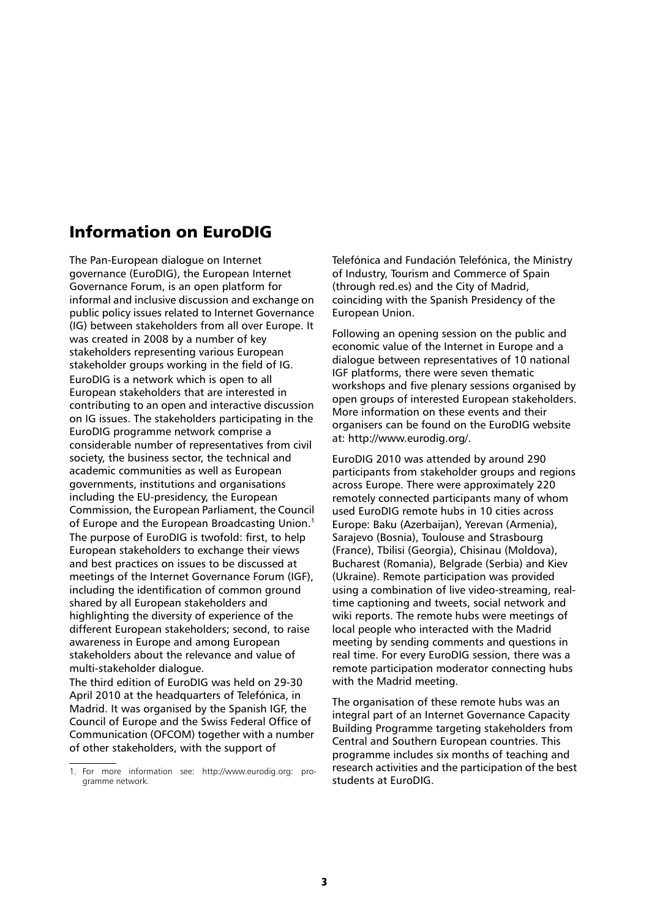## Information on EuroDIG

The Pan-European dialogue on Internet governance (EuroDIG), the European Internet Governance Forum, is an open platform for informal and inclusive discussion and exchange on public policy issues related to Internet Governance (IG) between stakeholders from all over Europe. It was created in 2008 by a number of key stakeholders representing various European stakeholder groups working in the field of IG. EuroDIG is a network which is open to all European stakeholders that are interested in contributing to an open and interactive discussion on IG issues. The stakeholders participating in the EuroDIG programme network comprise a considerable number of representatives from civil society, the business sector, the technical and academic communities as well as European governments, institutions and organisations including the EU-presidency, the European Commission, the European Parliament, the Council of Europe and the European Broadcasting Union.<sup>1</sup> The purpose of EuroDIG is twofold: first, to help European stakeholders to exchange their views and best practices on issues to be discussed at meetings of the Internet Governance Forum (IGF), including the identification of common ground shared by all European stakeholders and highlighting the diversity of experience of the different European stakeholders; second, to raise awareness in Europe and among European stakeholders about the relevance and value of multi-stakeholder dialogue.

The third edition of EuroDIG was held on 29-30 April 2010 at the headquarters of Telefónica, in Madrid. It was organised by the Spanish IGF, the Council of Europe and the Swiss Federal Office of Communication (OFCOM) together with a number of other stakeholders, with the support of

Telefónica and Fundación Telefónica, the Ministry of Industry, Tourism and Commerce of Spain (through red.es) and the City of Madrid, coinciding with the Spanish Presidency of the European Union.

Following an opening session on the public and economic value of the Internet in Europe and a dialogue between representatives of 10 national IGF platforms, there were seven thematic workshops and five plenary sessions organised by open groups of interested European stakeholders. More information on these events and their organisers can be found on the EuroDIG website at: http://www.eurodig.org/.

EuroDIG 2010 was attended by around 290 participants from stakeholder groups and regions across Europe. There were approximately 220 remotely connected participants many of whom used EuroDIG remote hubs in 10 cities across Europe: Baku (Azerbaijan), Yerevan (Armenia), Sarajevo (Bosnia), Toulouse and Strasbourg (France), Tbilisi (Georgia), Chisinau (Moldova), Bucharest (Romania), Belgrade (Serbia) and Kiev (Ukraine). Remote participation was provided using a combination of live video-streaming, realtime captioning and tweets, social network and wiki reports. The remote hubs were meetings of local people who interacted with the Madrid meeting by sending comments and questions in real time. For every EuroDIG session, there was a remote participation moderator connecting hubs with the Madrid meeting.

The organisation of these remote hubs was an integral part of an Internet Governance Capacity Building Programme targeting stakeholders from Central and Southern European countries. This programme includes six months of teaching and research activities and the participation of the best students at EuroDIG.

<sup>1.</sup> For more information see: http://www.eurodig.org: programme network.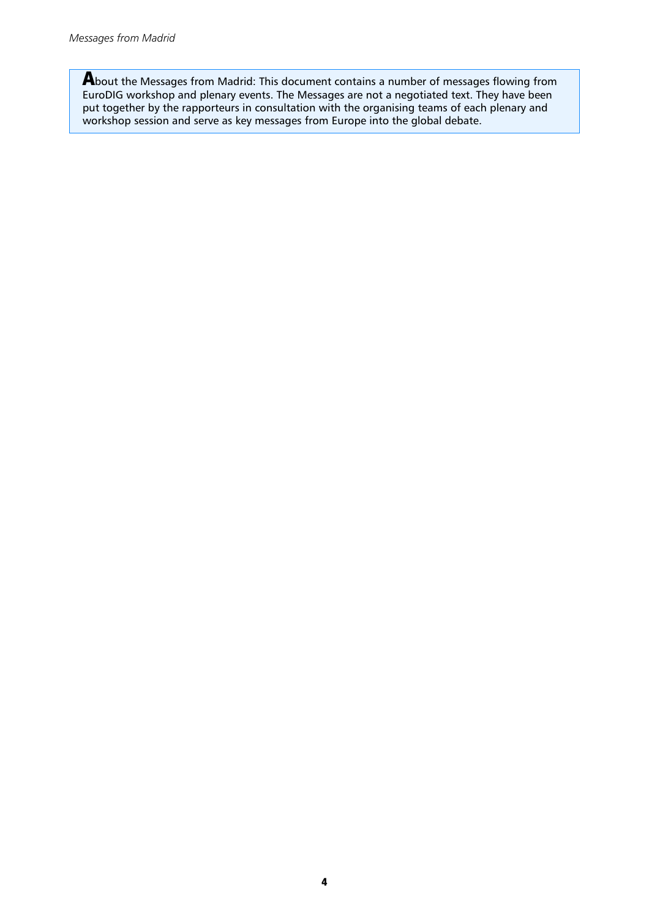**A**bout the Messages from Madrid: This document contains a number of messages flowing from EuroDIG workshop and plenary events. The Messages are not a negotiated text. They have been put together by the rapporteurs in consultation with the organising teams of each plenary and workshop session and serve as key messages from Europe into the global debate.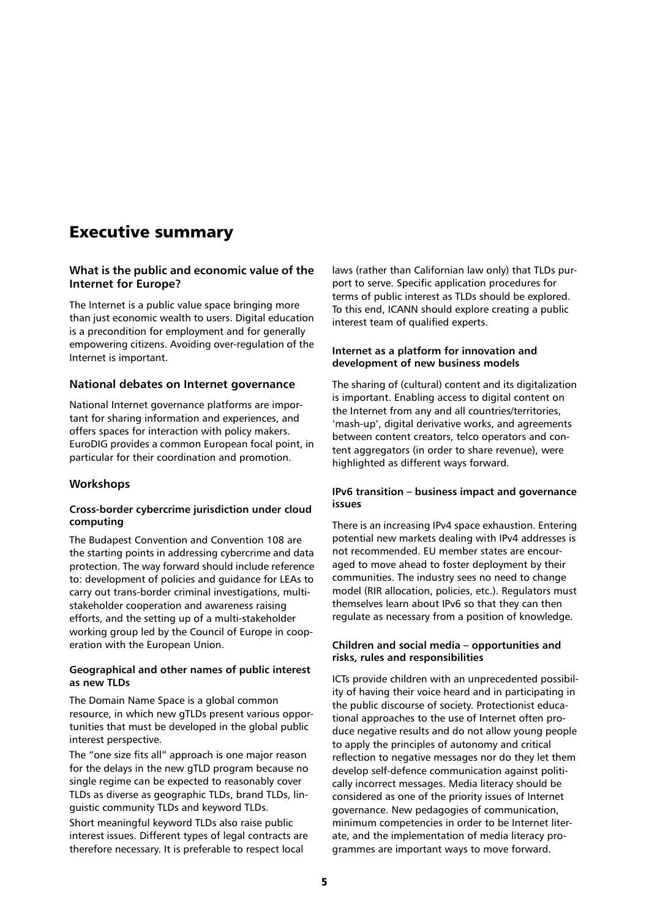## Executive summary

## **What is the public and economic value of the Internet for Europe?**

The Internet is a public value space bringing more than just economic wealth to users. Digital education is a precondition for employment and for generally empowering citizens. Avoiding over-regulation of the Internet is important.

## **National debates on Internet governance**

National Internet governance platforms are important for sharing information and experiences, and offers spaces for interaction with policy makers. EuroDIG provides a common European focal point, in particular for their coordination and promotion.

## **Workshops**

## **Cross-border cybercrime jurisdiction under cloud computing**

The Budapest Convention and Convention 108 are the starting points in addressing cybercrime and data protection. The way forward should include reference to: development of policies and guidance for LEAs to carry out trans-border criminal investigations, multistakeholder cooperation and awareness raising efforts, and the setting up of a multi-stakeholder working group led by the Council of Europe in cooperation with the European Union.

## **Geographical and other names of public interest as new TLDs**

The Domain Name Space is a global common resource, in which new gTLDs present various opportunities that must be developed in the global public interest perspective.

The "one size fits all" approach is one major reason for the delays in the new gTLD program because no single regime can be expected to reasonably cover TLDs as diverse as geographic TLDs, brand TLDs, linguistic community TLDs and keyword TLDs.

Short meaningful keyword TLDs also raise public interest issues. Different types of legal contracts are therefore necessary. It is preferable to respect local

laws (rather than Californian law only) that TLDs purport to serve. Specific application procedures for terms of public interest as TLDs should be explored. To this end, ICANN should explore creating a public interest team of qualified experts.

## **Internet as a platform for innovation and development of new business models**

The sharing of (cultural) content and its digitalization is important. Enabling access to digital content on the Internet from any and all countries/territories, 'mash-up', digital derivative works, and agreements between content creators, telco operators and content aggregators (in order to share revenue), were highlighted as different ways forward.

## **IPv6 transition – business impact and governance issues**

There is an increasing IPv4 space exhaustion. Entering potential new markets dealing with IPv4 addresses is not recommended. EU member states are encouraged to move ahead to foster deployment by their communities. The industry sees no need to change model (RIR allocation, policies, etc.). Regulators must themselves learn about IPv6 so that they can then regulate as necessary from a position of knowledge.

## **Children and social media – opportunities and risks, rules and responsibilities**

ICTs provide children with an unprecedented possibility of having their voice heard and in participating in the public discourse of society. Protectionist educational approaches to the use of Internet often produce negative results and do not allow young people to apply the principles of autonomy and critical reflection to negative messages nor do they let them develop self-defence communication against politically incorrect messages. Media literacy should be considered as one of the priority issues of Internet governance. New pedagogies of communication, minimum competencies in order to be Internet literate, and the implementation of media literacy programmes are important ways to move forward.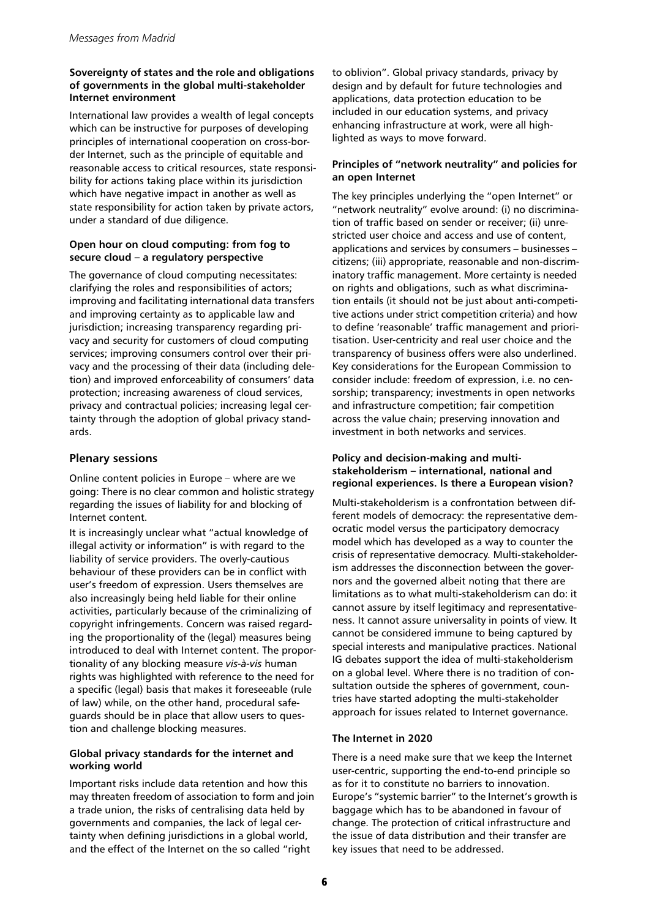## **Sovereignty of states and the role and obligations of governments in the global multi-stakeholder Internet environment**

International law provides a wealth of legal concepts which can be instructive for purposes of developing principles of international cooperation on cross-border Internet, such as the principle of equitable and reasonable access to critical resources, state responsibility for actions taking place within its jurisdiction which have negative impact in another as well as state responsibility for action taken by private actors, under a standard of due diligence.

## **Open hour on cloud computing: from fog to secure cloud – a regulatory perspective**

The governance of cloud computing necessitates: clarifying the roles and responsibilities of actors; improving and facilitating international data transfers and improving certainty as to applicable law and jurisdiction; increasing transparency regarding privacy and security for customers of cloud computing services; improving consumers control over their privacy and the processing of their data (including deletion) and improved enforceability of consumers' data protection; increasing awareness of cloud services, privacy and contractual policies; increasing legal certainty through the adoption of global privacy standards.

## **Plenary sessions**

Online content policies in Europe – where are we going: There is no clear common and holistic strategy regarding the issues of liability for and blocking of Internet content.

It is increasingly unclear what "actual knowledge of illegal activity or information" is with regard to the liability of service providers. The overly-cautious behaviour of these providers can be in conflict with user's freedom of expression. Users themselves are also increasingly being held liable for their online activities, particularly because of the criminalizing of copyright infringements. Concern was raised regarding the proportionality of the (legal) measures being introduced to deal with Internet content. The proportionality of any blocking measure *vis-à-vis* human rights was highlighted with reference to the need for a specific (legal) basis that makes it foreseeable (rule of law) while, on the other hand, procedural safeguards should be in place that allow users to question and challenge blocking measures.

## **Global privacy standards for the internet and working world**

Important risks include data retention and how this may threaten freedom of association to form and join a trade union, the risks of centralising data held by governments and companies, the lack of legal certainty when defining jurisdictions in a global world, and the effect of the Internet on the so called "right

to oblivion". Global privacy standards, privacy by design and by default for future technologies and applications, data protection education to be included in our education systems, and privacy enhancing infrastructure at work, were all highlighted as ways to move forward.

## **Principles of "network neutrality" and policies for an open Internet**

The key principles underlying the "open Internet" or "network neutrality" evolve around: (i) no discrimination of traffic based on sender or receiver; (ii) unrestricted user choice and access and use of content, applications and services by consumers – businesses – citizens; (iii) appropriate, reasonable and non-discriminatory traffic management. More certainty is needed on rights and obligations, such as what discrimination entails (it should not be just about anti-competitive actions under strict competition criteria) and how to define 'reasonable' traffic management and prioritisation. User-centricity and real user choice and the transparency of business offers were also underlined. Key considerations for the European Commission to consider include: freedom of expression, i.e. no censorship; transparency; investments in open networks and infrastructure competition; fair competition across the value chain; preserving innovation and investment in both networks and services.

## **Policy and decision-making and multistakeholderism – international, national and regional experiences. Is there a European vision?**

Multi-stakeholderism is a confrontation between different models of democracy: the representative democratic model versus the participatory democracy model which has developed as a way to counter the crisis of representative democracy. Multi-stakeholderism addresses the disconnection between the governors and the governed albeit noting that there are limitations as to what multi-stakeholderism can do: it cannot assure by itself legitimacy and representativeness. It cannot assure universality in points of view. It cannot be considered immune to being captured by special interests and manipulative practices. National IG debates support the idea of multi-stakeholderism on a global level. Where there is no tradition of consultation outside the spheres of government, countries have started adopting the multi-stakeholder approach for issues related to Internet governance.

## **The Internet in 2020**

There is a need make sure that we keep the Internet user-centric, supporting the end-to-end principle so as for it to constitute no barriers to innovation. Europe's "systemic barrier" to the Internet's growth is baggage which has to be abandoned in favour of change. The protection of critical infrastructure and the issue of data distribution and their transfer are key issues that need to be addressed.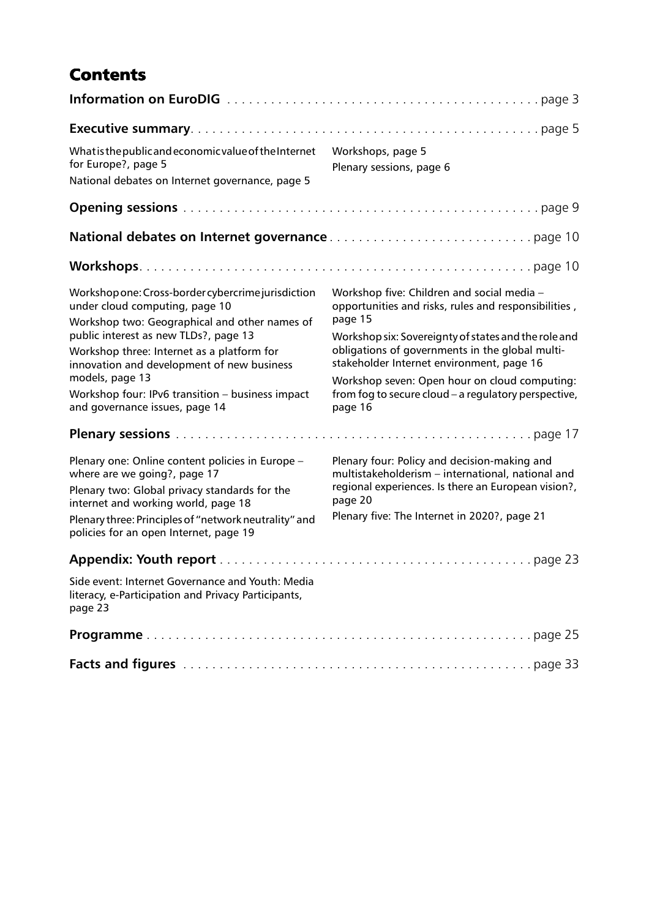## **Contents**

| What is the public and economic value of the Internet<br>for Europe?, page 5<br>National debates on Internet governance, page 5                                                                                                                                                                                                                                                                                                                                                                                                                                                                                                                                    | Workshops, page 5<br>Plenary sessions, page 6                                                                                                                                                                                                                                                                                                                                                                                                                                                                                                                                                                    |
|--------------------------------------------------------------------------------------------------------------------------------------------------------------------------------------------------------------------------------------------------------------------------------------------------------------------------------------------------------------------------------------------------------------------------------------------------------------------------------------------------------------------------------------------------------------------------------------------------------------------------------------------------------------------|------------------------------------------------------------------------------------------------------------------------------------------------------------------------------------------------------------------------------------------------------------------------------------------------------------------------------------------------------------------------------------------------------------------------------------------------------------------------------------------------------------------------------------------------------------------------------------------------------------------|
|                                                                                                                                                                                                                                                                                                                                                                                                                                                                                                                                                                                                                                                                    |                                                                                                                                                                                                                                                                                                                                                                                                                                                                                                                                                                                                                  |
|                                                                                                                                                                                                                                                                                                                                                                                                                                                                                                                                                                                                                                                                    |                                                                                                                                                                                                                                                                                                                                                                                                                                                                                                                                                                                                                  |
|                                                                                                                                                                                                                                                                                                                                                                                                                                                                                                                                                                                                                                                                    |                                                                                                                                                                                                                                                                                                                                                                                                                                                                                                                                                                                                                  |
| Workshop one: Cross-border cybercrime jurisdiction<br>under cloud computing, page 10<br>Workshop two: Geographical and other names of<br>public interest as new TLDs?, page 13<br>Workshop three: Internet as a platform for<br>innovation and development of new business<br>models, page 13<br>Workshop four: IPv6 transition - business impact<br>and governance issues, page 14<br>Plenary one: Online content policies in Europe -<br>where are we going?, page 17<br>Plenary two: Global privacy standards for the<br>internet and working world, page 18<br>Plenary three: Principles of "network neutrality" and<br>policies for an open Internet, page 19 | Workshop five: Children and social media -<br>opportunities and risks, rules and responsibilities,<br>page 15<br>Workshop six: Sovereignty of states and the role and<br>obligations of governments in the global multi-<br>stakeholder Internet environment, page 16<br>Workshop seven: Open hour on cloud computing:<br>from fog to secure cloud - a regulatory perspective,<br>page 16<br>Plenary four: Policy and decision-making and<br>multistakeholderism - international, national and<br>regional experiences. Is there an European vision?,<br>page 20<br>Plenary five: The Internet in 2020?, page 21 |
|                                                                                                                                                                                                                                                                                                                                                                                                                                                                                                                                                                                                                                                                    |                                                                                                                                                                                                                                                                                                                                                                                                                                                                                                                                                                                                                  |
| Side event: Internet Governance and Youth: Media<br>literacy, e-Participation and Privacy Participants,<br>page 23                                                                                                                                                                                                                                                                                                                                                                                                                                                                                                                                                 |                                                                                                                                                                                                                                                                                                                                                                                                                                                                                                                                                                                                                  |
|                                                                                                                                                                                                                                                                                                                                                                                                                                                                                                                                                                                                                                                                    |                                                                                                                                                                                                                                                                                                                                                                                                                                                                                                                                                                                                                  |
|                                                                                                                                                                                                                                                                                                                                                                                                                                                                                                                                                                                                                                                                    |                                                                                                                                                                                                                                                                                                                                                                                                                                                                                                                                                                                                                  |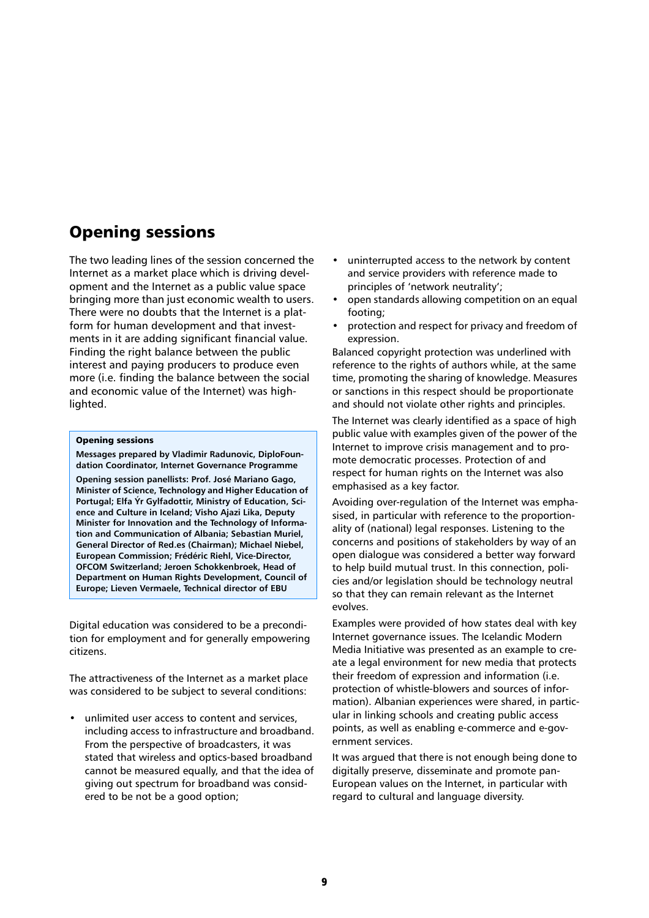## Opening sessions

The two leading lines of the session concerned the Internet as a market place which is driving development and the Internet as a public value space bringing more than just economic wealth to users. There were no doubts that the Internet is a platform for human development and that investments in it are adding significant financial value. Finding the right balance between the public interest and paying producers to produce even more (i.e. finding the balance between the social and economic value of the Internet) was highlighted.

#### Opening sessions

**Messages prepared by Vladimir Radunovic, DiploFoundation Coordinator, Internet Governance Programme Opening session panellists: Prof. José Mariano Gago, Minister of Science, Technology and Higher Education of Portugal; Elfa Ýr Gylfadottir, Ministry of Education, Science and Culture in Iceland; Visho Ajazi Lika, Deputy Minister for Innovation and the Technology of Information and Communication of Albania; Sebastian Muriel, General Director of Red.es (Chairman); Michael Niebel, European Commission; Frédéric Riehl, Vice-Director, OFCOM Switzerland; Jeroen Schokkenbroek, Head of Department on Human Rights Development, Council of Europe; Lieven Vermaele, Technical director of EBU**

Digital education was considered to be a precondition for employment and for generally empowering citizens.

The attractiveness of the Internet as a market place was considered to be subject to several conditions:

unlimited user access to content and services, including access to infrastructure and broadband. From the perspective of broadcasters, it was stated that wireless and optics-based broadband cannot be measured equally, and that the idea of giving out spectrum for broadband was considered to be not be a good option;

- uninterrupted access to the network by content and service providers with reference made to principles of 'network neutrality';
- open standards allowing competition on an equal footing;
- protection and respect for privacy and freedom of expression.

Balanced copyright protection was underlined with reference to the rights of authors while, at the same time, promoting the sharing of knowledge. Measures or sanctions in this respect should be proportionate and should not violate other rights and principles.

The Internet was clearly identified as a space of high public value with examples given of the power of the Internet to improve crisis management and to promote democratic processes. Protection of and respect for human rights on the Internet was also emphasised as a key factor.

Avoiding over-regulation of the Internet was emphasised, in particular with reference to the proportionality of (national) legal responses. Listening to the concerns and positions of stakeholders by way of an open dialogue was considered a better way forward to help build mutual trust. In this connection, policies and/or legislation should be technology neutral so that they can remain relevant as the Internet evolves.

Examples were provided of how states deal with key Internet governance issues. The Icelandic Modern Media Initiative was presented as an example to create a legal environment for new media that protects their freedom of expression and information (i.e. protection of whistle-blowers and sources of information). Albanian experiences were shared, in particular in linking schools and creating public access points, as well as enabling e-commerce and e-government services.

It was argued that there is not enough being done to digitally preserve, disseminate and promote pan-European values on the Internet, in particular with regard to cultural and language diversity.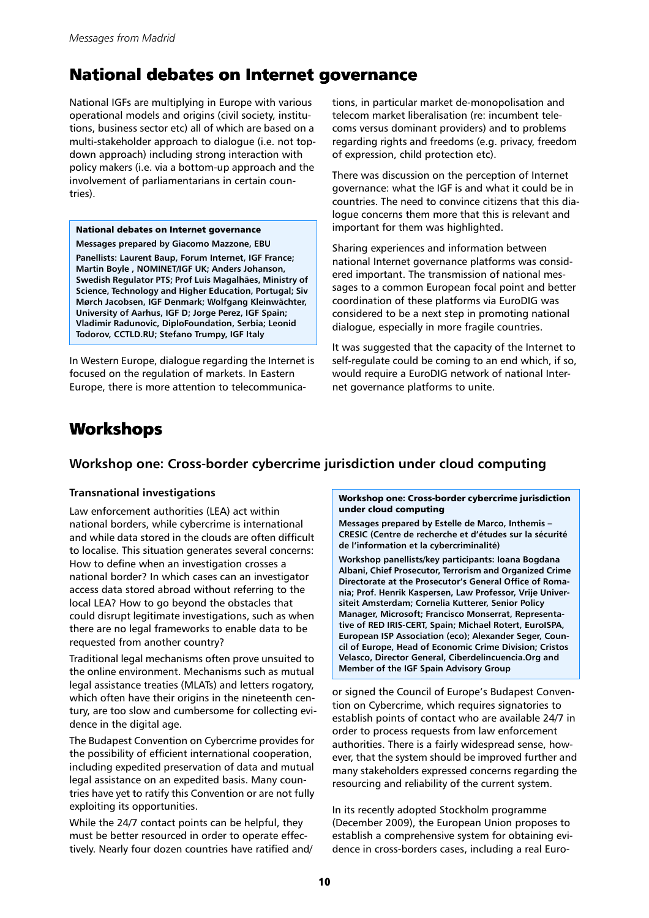## National debates on Internet governance

National IGFs are multiplying in Europe with various operational models and origins (civil society, institutions, business sector etc) all of which are based on a multi-stakeholder approach to dialogue (i.e. not topdown approach) including strong interaction with policy makers (i.e. via a bottom-up approach and the involvement of parliamentarians in certain countries).

#### National debates on Internet governance **Messages prepared by Giacomo Mazzone, EBU**

**Panellists: Laurent Baup, Forum Internet, IGF France; Martin Boyle , NOMINET/IGF UK; Anders Johanson, Swedish Regulator PTS; Prof Luis Magalhães, Ministry of Science, Technology and Higher Education, Portugal; Siv Mørch Jacobsen, IGF Denmark; Wolfgang Kleinwächter, University of Aarhus, IGF D; Jorge Perez, IGF Spain; Vladimir Radunovic, DiploFoundation, Serbia; Leonid Todorov, CCTLD.RU; Stefano Trumpy, IGF Italy**

In Western Europe, dialogue regarding the Internet is focused on the regulation of markets. In Eastern Europe, there is more attention to telecommunications, in particular market de-monopolisation and telecom market liberalisation (re: incumbent telecoms versus dominant providers) and to problems regarding rights and freedoms (e.g. privacy, freedom of expression, child protection etc).

There was discussion on the perception of Internet governance: what the IGF is and what it could be in countries. The need to convince citizens that this dialogue concerns them more that this is relevant and important for them was highlighted.

Sharing experiences and information between national Internet governance platforms was considered important. The transmission of national messages to a common European focal point and better coordination of these platforms via EuroDIG was considered to be a next step in promoting national dialogue, especially in more fragile countries.

It was suggested that the capacity of the Internet to self-regulate could be coming to an end which, if so, would require a EuroDIG network of national Internet governance platforms to unite.

## Workshops

## **Workshop one: Cross-border cybercrime jurisdiction under cloud computing**

## **Transnational investigations**

Law enforcement authorities (LEA) act within national borders, while cybercrime is international and while data stored in the clouds are often difficult to localise. This situation generates several concerns: How to define when an investigation crosses a national border? In which cases can an investigator access data stored abroad without referring to the local LEA? How to go beyond the obstacles that could disrupt legitimate investigations, such as when there are no legal frameworks to enable data to be requested from another country?

Traditional legal mechanisms often prove unsuited to the online environment. Mechanisms such as mutual legal assistance treaties (MLATs) and letters rogatory, which often have their origins in the nineteenth century, are too slow and cumbersome for collecting evidence in the digital age.

The Budapest Convention on Cybercrime provides for the possibility of efficient international cooperation, including expedited preservation of data and mutual legal assistance on an expedited basis. Many countries have yet to ratify this Convention or are not fully exploiting its opportunities.

While the 24/7 contact points can be helpful, they must be better resourced in order to operate effectively. Nearly four dozen countries have ratified and/

#### Workshop one: Cross-border cybercrime jurisdiction under cloud computing

**Messages prepared by Estelle de Marco, Inthemis – CRESIC (Centre de recherche et d'études sur la sécurité de l'information et la cybercriminalité)**

**Workshop panellists/key participants: Ioana Bogdana Albani, Chief Prosecutor, Terrorism and Organized Crime Directorate at the Prosecutor's General Office of Romania; Prof. Henrik Kaspersen, Law Professor, Vrije Universiteit Amsterdam; Cornelia Kutterer, Senior Policy Manager, Microsoft; Francisco Monserrat, Representative of RED IRIS-CERT, Spain; Michael Rotert, EuroISPA, European ISP Association (eco); Alexander Seger, Council of Europe, Head of Economic Crime Division; Cristos Velasco, Director General, Ciberdelincuencia.Org and Member of the IGF Spain Advisory Group**

or signed the Council of Europe's Budapest Convention on Cybercrime, which requires signatories to establish points of contact who are available 24/7 in order to process requests from law enforcement authorities. There is a fairly widespread sense, however, that the system should be improved further and many stakeholders expressed concerns regarding the resourcing and reliability of the current system.

In its recently adopted Stockholm programme (December 2009), the European Union proposes to establish a comprehensive system for obtaining evidence in cross-borders cases, including a real Euro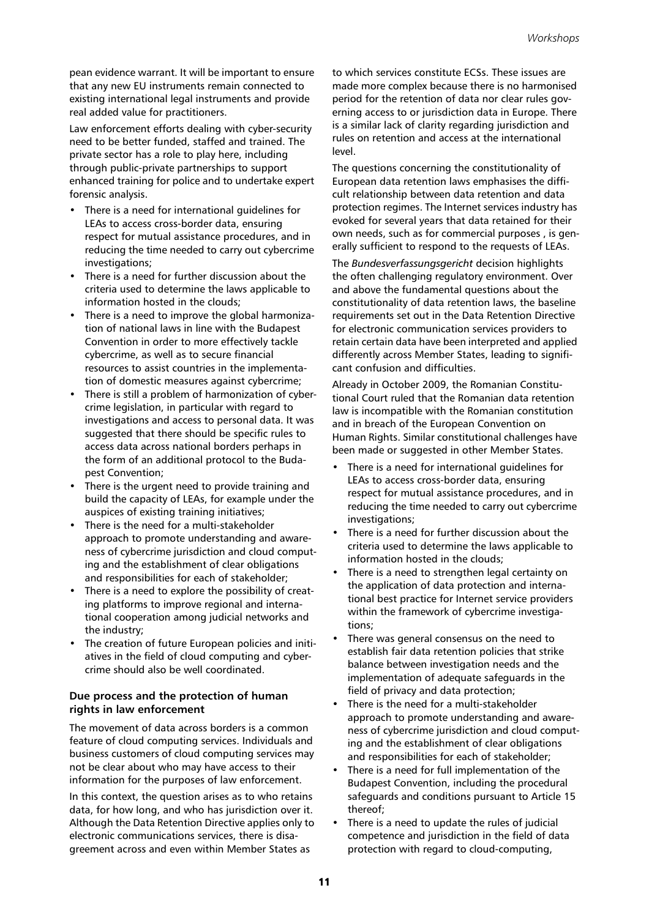pean evidence warrant. It will be important to ensure that any new EU instruments remain connected to existing international legal instruments and provide real added value for practitioners.

Law enforcement efforts dealing with cyber-security need to be better funded, staffed and trained. The private sector has a role to play here, including through public-private partnerships to support enhanced training for police and to undertake expert forensic analysis.

- There is a need for international guidelines for LEAs to access cross-border data, ensuring respect for mutual assistance procedures, and in reducing the time needed to carry out cybercrime investigations;
- There is a need for further discussion about the criteria used to determine the laws applicable to information hosted in the clouds;
- There is a need to improve the global harmonization of national laws in line with the Budapest Convention in order to more effectively tackle cybercrime, as well as to secure financial resources to assist countries in the implementation of domestic measures against cybercrime;
- There is still a problem of harmonization of cybercrime legislation, in particular with regard to investigations and access to personal data. It was suggested that there should be specific rules to access data across national borders perhaps in the form of an additional protocol to the Budapest Convention;
- There is the urgent need to provide training and build the capacity of LEAs, for example under the auspices of existing training initiatives;
- There is the need for a multi-stakeholder approach to promote understanding and awareness of cybercrime jurisdiction and cloud computing and the establishment of clear obligations and responsibilities for each of stakeholder;
- There is a need to explore the possibility of creating platforms to improve regional and international cooperation among judicial networks and the industry;
- The creation of future European policies and initiatives in the field of cloud computing and cybercrime should also be well coordinated.

## **Due process and the protection of human rights in law enforcement**

The movement of data across borders is a common feature of cloud computing services. Individuals and business customers of cloud computing services may not be clear about who may have access to their information for the purposes of law enforcement.

In this context, the question arises as to who retains data, for how long, and who has jurisdiction over it. Although the Data Retention Directive applies only to electronic communications services, there is disagreement across and even within Member States as

to which services constitute ECSs. These issues are made more complex because there is no harmonised period for the retention of data nor clear rules governing access to or jurisdiction data in Europe. There is a similar lack of clarity regarding jurisdiction and rules on retention and access at the international level.

The questions concerning the constitutionality of European data retention laws emphasises the difficult relationship between data retention and data protection regimes. The Internet services industry has evoked for several years that data retained for their own needs, such as for commercial purposes , is generally sufficient to respond to the requests of LEAs.

The *Bundesverfassungsgericht* decision highlights the often challenging regulatory environment. Over and above the fundamental questions about the constitutionality of data retention laws, the baseline requirements set out in the Data Retention Directive for electronic communication services providers to retain certain data have been interpreted and applied differently across Member States, leading to significant confusion and difficulties.

Already in October 2009, the Romanian Constitutional Court ruled that the Romanian data retention law is incompatible with the Romanian constitution and in breach of the European Convention on Human Rights. Similar constitutional challenges have been made or suggested in other Member States.

- There is a need for international guidelines for LEAs to access cross-border data, ensuring respect for mutual assistance procedures, and in reducing the time needed to carry out cybercrime investigations;
- There is a need for further discussion about the criteria used to determine the laws applicable to information hosted in the clouds;
- There is a need to strengthen legal certainty on the application of data protection and international best practice for Internet service providers within the framework of cybercrime investigations;
- There was general consensus on the need to establish fair data retention policies that strike balance between investigation needs and the implementation of adequate safeguards in the field of privacy and data protection;
- There is the need for a multi-stakeholder approach to promote understanding and awareness of cybercrime jurisdiction and cloud computing and the establishment of clear obligations and responsibilities for each of stakeholder;
- There is a need for full implementation of the Budapest Convention, including the procedural safeguards and conditions pursuant to Article 15 thereof;
- There is a need to update the rules of judicial competence and jurisdiction in the field of data protection with regard to cloud-computing,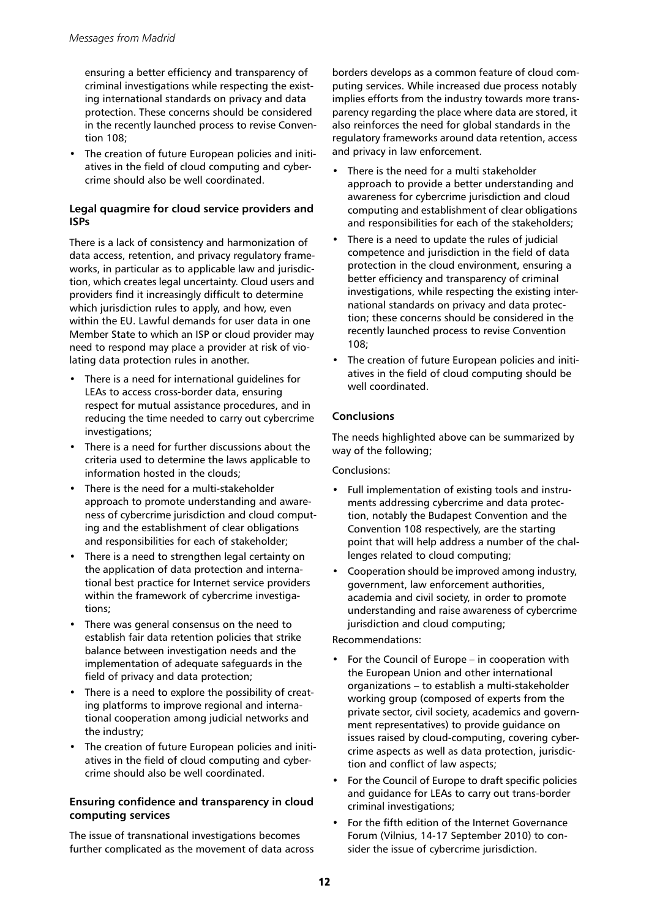ensuring a better efficiency and transparency of criminal investigations while respecting the existing international standards on privacy and data protection. These concerns should be considered in the recently launched process to revise Convention 108;

• The creation of future European policies and initiatives in the field of cloud computing and cybercrime should also be well coordinated.

## **Legal quagmire for cloud service providers and ISPs**

There is a lack of consistency and harmonization of data access, retention, and privacy regulatory frameworks, in particular as to applicable law and jurisdiction, which creates legal uncertainty. Cloud users and providers find it increasingly difficult to determine which jurisdiction rules to apply, and how, even within the EU. Lawful demands for user data in one Member State to which an ISP or cloud provider may need to respond may place a provider at risk of violating data protection rules in another.

- There is a need for international quidelines for LEAs to access cross-border data, ensuring respect for mutual assistance procedures, and in reducing the time needed to carry out cybercrime investigations;
- There is a need for further discussions about the criteria used to determine the laws applicable to information hosted in the clouds;
- There is the need for a multi-stakeholder approach to promote understanding and awareness of cybercrime jurisdiction and cloud computing and the establishment of clear obligations and responsibilities for each of stakeholder;
- There is a need to strengthen legal certainty on the application of data protection and international best practice for Internet service providers within the framework of cybercrime investigations;
- There was general consensus on the need to establish fair data retention policies that strike balance between investigation needs and the implementation of adequate safeguards in the field of privacy and data protection;
- There is a need to explore the possibility of creating platforms to improve regional and international cooperation among judicial networks and the industry;
- The creation of future European policies and initiatives in the field of cloud computing and cybercrime should also be well coordinated.

## **Ensuring confidence and transparency in cloud computing services**

The issue of transnational investigations becomes further complicated as the movement of data across

borders develops as a common feature of cloud computing services. While increased due process notably implies efforts from the industry towards more transparency regarding the place where data are stored, it also reinforces the need for global standards in the regulatory frameworks around data retention, access and privacy in law enforcement.

- There is the need for a multi stakeholder approach to provide a better understanding and awareness for cybercrime jurisdiction and cloud computing and establishment of clear obligations and responsibilities for each of the stakeholders;
- There is a need to update the rules of judicial competence and jurisdiction in the field of data protection in the cloud environment, ensuring a better efficiency and transparency of criminal investigations, while respecting the existing international standards on privacy and data protection; these concerns should be considered in the recently launched process to revise Convention 108;
- The creation of future European policies and initiatives in the field of cloud computing should be well coordinated.

## **Conclusions**

The needs highlighted above can be summarized by way of the following;

## Conclusions:

- Full implementation of existing tools and instruments addressing cybercrime and data protection, notably the Budapest Convention and the Convention 108 respectively, are the starting point that will help address a number of the challenges related to cloud computing;
- Cooperation should be improved among industry, government, law enforcement authorities, academia and civil society, in order to promote understanding and raise awareness of cybercrime jurisdiction and cloud computing;

## Recommendations:

- For the Council of Europe in cooperation with the European Union and other international organizations – to establish a multi-stakeholder working group (composed of experts from the private sector, civil society, academics and government representatives) to provide guidance on issues raised by cloud-computing, covering cybercrime aspects as well as data protection, jurisdiction and conflict of law aspects;
- For the Council of Europe to draft specific policies and guidance for LEAs to carry out trans-border criminal investigations;
- For the fifth edition of the Internet Governance Forum (Vilnius, 14-17 September 2010) to consider the issue of cybercrime jurisdiction.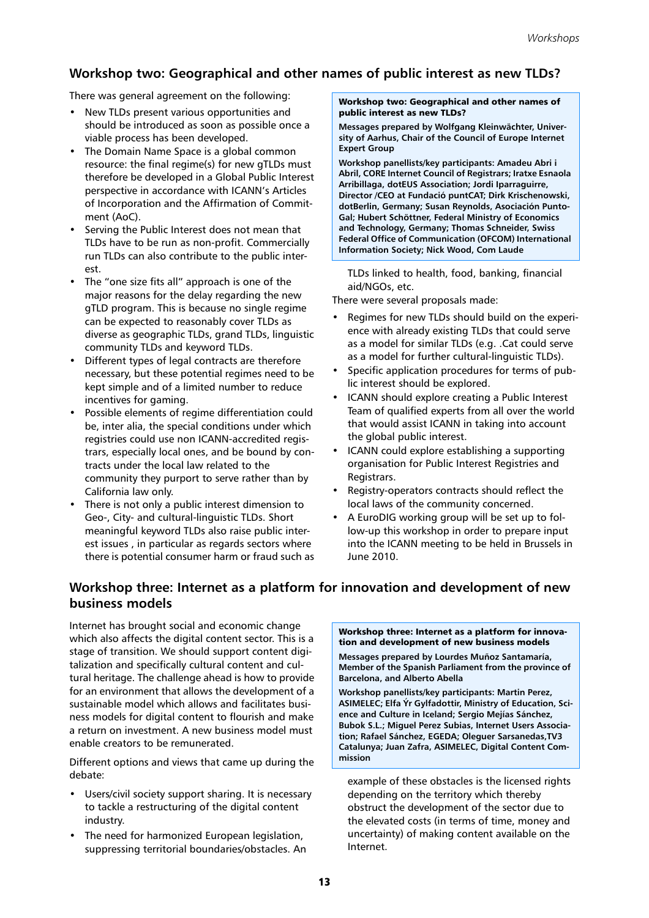## **Workshop two: Geographical and other names of public interest as new TLDs?**

There was general agreement on the following:

- New TLDs present various opportunities and should be introduced as soon as possible once a viable process has been developed.
- The Domain Name Space is a global common resource: the final regime(s) for new gTLDs must therefore be developed in a Global Public Interest perspective in accordance with ICANN's Articles of Incorporation and the Affirmation of Commitment (AoC).
- Serving the Public Interest does not mean that TLDs have to be run as non-profit. Commercially run TLDs can also contribute to the public interest.
- The "one size fits all" approach is one of the major reasons for the delay regarding the new gTLD program. This is because no single regime can be expected to reasonably cover TLDs as diverse as geographic TLDs, grand TLDs, linguistic community TLDs and keyword TLDs.
- Different types of legal contracts are therefore necessary, but these potential regimes need to be kept simple and of a limited number to reduce incentives for gaming.
- Possible elements of regime differentiation could be, inter alia, the special conditions under which registries could use non ICANN-accredited registrars, especially local ones, and be bound by contracts under the local law related to the community they purport to serve rather than by California law only.
- There is not only a public interest dimension to Geo-, City- and cultural-linguistic TLDs. Short meaningful keyword TLDs also raise public interest issues , in particular as regards sectors where there is potential consumer harm or fraud such as

#### Workshop two: Geographical and other names of public interest as new TLDs?

**Messages prepared by Wolfgang Kleinwächter, University of Aarhus, Chair of the Council of Europe Internet Expert Group**

**Workshop panellists/key participants: Amadeu Abri i Abril, CORE Internet Council of Registrars; Iratxe Esnaola Arribillaga, dotEUS Association; Jordi Iparraguirre, Director /CEO at Fundació puntCAT; Dirk Krischenowski, dotBerlin, Germany; Susan Reynolds, Asociación Punto-Gal; Hubert Schöttner, Federal Ministry of Economics and Technology, Germany; Thomas Schneider, Swiss Federal Office of Communication (OFCOM) International Information Society; Nick Wood, Com Laude**

TLDs linked to health, food, banking, financial aid/NGOs, etc.

There were several proposals made:

- Regimes for new TLDs should build on the experience with already existing TLDs that could serve as a model for similar TLDs (e.g. .Cat could serve as a model for further cultural-linguistic TLDs).
- Specific application procedures for terms of public interest should be explored.
- ICANN should explore creating a Public Interest Team of qualified experts from all over the world that would assist ICANN in taking into account the global public interest.
- ICANN could explore establishing a supporting organisation for Public Interest Registries and Registrars.
- Registry-operators contracts should reflect the local laws of the community concerned.
- A EuroDIG working group will be set up to follow-up this workshop in order to prepare input into the ICANN meeting to be held in Brussels in June 2010.

## **Workshop three: Internet as a platform for innovation and development of new business models**

Internet has brought social and economic change which also affects the digital content sector. This is a stage of transition. We should support content digitalization and specifically cultural content and cultural heritage. The challenge ahead is how to provide for an environment that allows the development of a sustainable model which allows and facilitates business models for digital content to flourish and make a return on investment. A new business model must enable creators to be remunerated.

Different options and views that came up during the debate:

- Users/civil society support sharing. It is necessary to tackle a restructuring of the digital content industry.
- The need for harmonized European legislation, suppressing territorial boundaries/obstacles. An

#### Workshop three: Internet as a platform for innovation and development of new business models

**Messages prepared by Lourdes Muñoz Santamaría, Member of the Spanish Parliament from the province of Barcelona, and Alberto Abella**

**Workshop panellists/key participants: Martin Perez, ASIMELEC; Elfa Ýr Gylfadottir, Ministry of Education, Science and Culture in Iceland; Sergio Mejías Sánchez, Bubok S.L.; Miguel Perez Subias, Internet Users Association; Rafael Sánchez, EGEDA; Oleguer Sarsanedas,TV3 Catalunya; Juan Zafra, ASIMELEC, Digital Content Commission**

example of these obstacles is the licensed rights depending on the territory which thereby obstruct the development of the sector due to the elevated costs (in terms of time, money and uncertainty) of making content available on the Internet.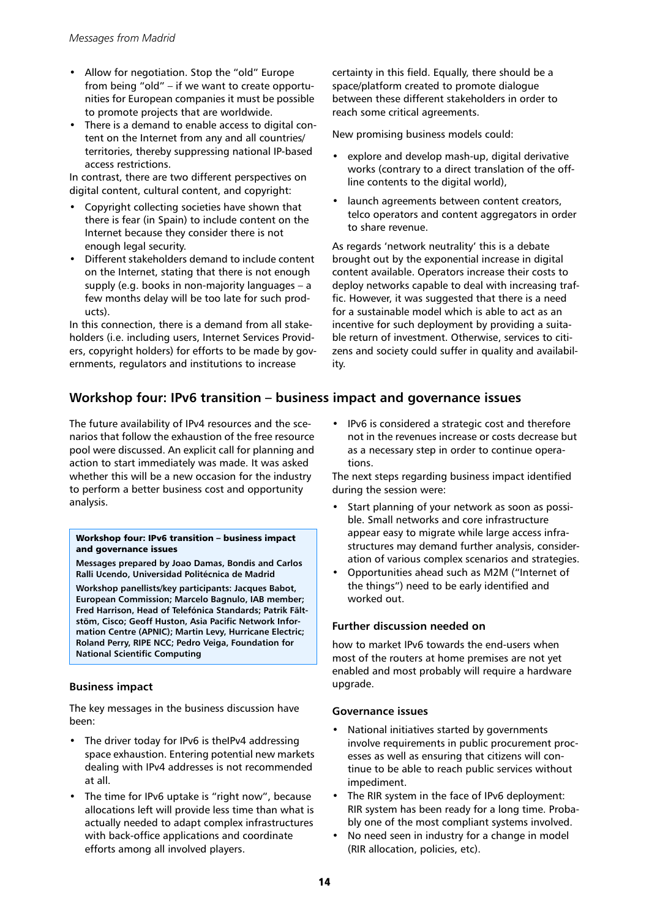- Allow for negotiation. Stop the "old" Europe from being "old" – if we want to create opportunities for European companies it must be possible to promote projects that are worldwide.
- There is a demand to enable access to digital content on the Internet from any and all countries/ territories, thereby suppressing national IP-based access restrictions.

In contrast, there are two different perspectives on digital content, cultural content, and copyright:

- Copyright collecting societies have shown that there is fear (in Spain) to include content on the Internet because they consider there is not enough legal security.
- Different stakeholders demand to include content on the Internet, stating that there is not enough supply (e.g. books in non-majority languages – a few months delay will be too late for such products).

In this connection, there is a demand from all stakeholders (i.e. including users, Internet Services Providers, copyright holders) for efforts to be made by governments, regulators and institutions to increase

certainty in this field. Equally, there should be a space/platform created to promote dialogue between these different stakeholders in order to reach some critical agreements.

New promising business models could:

- explore and develop mash-up, digital derivative works (contrary to a direct translation of the offline contents to the digital world),
- launch agreements between content creators, telco operators and content aggregators in order to share revenue.

As regards 'network neutrality' this is a debate brought out by the exponential increase in digital content available. Operators increase their costs to deploy networks capable to deal with increasing traffic. However, it was suggested that there is a need for a sustainable model which is able to act as an incentive for such deployment by providing a suitable return of investment. Otherwise, services to citizens and society could suffer in quality and availability.

## **Workshop four: IPv6 transition – business impact and governance issues**

The future availability of IPv4 resources and the scenarios that follow the exhaustion of the free resource pool were discussed. An explicit call for planning and action to start immediately was made. It was asked whether this will be a new occasion for the industry to perform a better business cost and opportunity analysis.

#### Workshop four: IPv6 transition – business impact and governance issues

**Messages prepared by Joao Damas, Bondis and Carlos Ralli Ucendo, Universidad Politécnica de Madrid**

**Workshop panellists/key participants: Jacques Babot, European Commission; Marcelo Bagnulo, IAB member; Fred Harrison, Head of Telefónica Standards; Patrik Fältstöm, Cisco; Geoff Huston, Asia Pacific Network Information Centre (APNIC); Martin Levy, Hurricane Electric; Roland Perry, RIPE NCC; Pedro Veiga, Foundation for National Scientific Computing**

## **Business impact**

The key messages in the business discussion have been:

- The driver today for IPv6 is theIPv4 addressing space exhaustion. Entering potential new markets dealing with IPv4 addresses is not recommended at all.
- The time for IPv6 uptake is "right now", because allocations left will provide less time than what is actually needed to adapt complex infrastructures with back-office applications and coordinate efforts among all involved players.

• IPv6 is considered a strategic cost and therefore not in the revenues increase or costs decrease but as a necessary step in order to continue operations.

The next steps regarding business impact identified during the session were:

- Start planning of your network as soon as possible. Small networks and core infrastructure appear easy to migrate while large access infrastructures may demand further analysis, consideration of various complex scenarios and strategies.
- Opportunities ahead such as M2M ("Internet of the things") need to be early identified and worked out.

## **Further discussion needed on**

how to market IPv6 towards the end-users when most of the routers at home premises are not yet enabled and most probably will require a hardware upgrade.

## **Governance issues**

- National initiatives started by governments involve requirements in public procurement processes as well as ensuring that citizens will continue to be able to reach public services without impediment.
- The RIR system in the face of IPv6 deployment: RIR system has been ready for a long time. Probably one of the most compliant systems involved.
- No need seen in industry for a change in model (RIR allocation, policies, etc).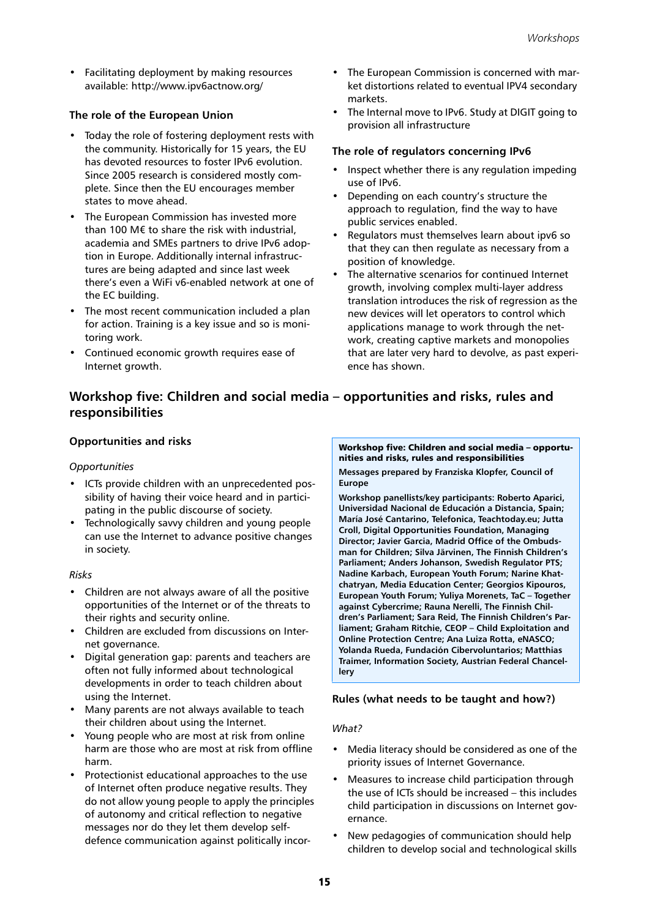• Facilitating deployment by making resources available: http://www.ipv6actnow.org/

## **The role of the European Union**

- Today the role of fostering deployment rests with the community. Historically for 15 years, the EU has devoted resources to foster IPv6 evolution. Since 2005 research is considered mostly complete. Since then the EU encourages member states to move ahead.
- The European Commission has invested more than 100 M€ to share the risk with industrial, academia and SMEs partners to drive IPv6 adoption in Europe. Additionally internal infrastructures are being adapted and since last week there's even a WiFi v6-enabled network at one of the EC building.
- The most recent communication included a plan for action. Training is a key issue and so is monitoring work.
- Continued economic growth requires ease of Internet growth.
- The European Commission is concerned with market distortions related to eventual IPV4 secondary markets.
- The Internal move to IPv6. Study at DIGIT going to provision all infrastructure

#### **The role of regulators concerning IPv6**

- Inspect whether there is any regulation impeding use of IPv6.
- Depending on each country's structure the approach to regulation, find the way to have public services enabled.
- Regulators must themselves learn about ipv6 so that they can then regulate as necessary from a position of knowledge.
- The alternative scenarios for continued Internet growth, involving complex multi-layer address translation introduces the risk of regression as the new devices will let operators to control which applications manage to work through the network, creating captive markets and monopolies that are later very hard to devolve, as past experience has shown.

## **Workshop five: Children and social media – opportunities and risks, rules and responsibilities**

## **Opportunities and risks**

## *Opportunities*

- ICTs provide children with an unprecedented possibility of having their voice heard and in participating in the public discourse of society.
- Technologically savvy children and young people can use the Internet to advance positive changes in society.

#### *Risks*

- Children are not always aware of all the positive opportunities of the Internet or of the threats to their rights and security online.
- Children are excluded from discussions on Internet governance.
- Digital generation gap: parents and teachers are often not fully informed about technological developments in order to teach children about using the Internet.
- Many parents are not always available to teach their children about using the Internet.
- Young people who are most at risk from online harm are those who are most at risk from offline harm.
- Protectionist educational approaches to the use of Internet often produce negative results. They do not allow young people to apply the principles of autonomy and critical reflection to negative messages nor do they let them develop selfdefence communication against politically incor-

#### Workshop five: Children and social media – opportunities and risks, rules and responsibilities

**Messages prepared by Franziska Klopfer, Council of Europe**

**Workshop panellists/key participants: Roberto Aparici, Universidad Nacional de Educación a Distancia, Spain; María José Cantarino, Telefonica, Teachtoday.eu; Jutta Croll, Digital Opportunities Foundation, Managing Director; Javier Garcia, Madrid Office of the Ombudsman for Children; Silva Järvinen, The Finnish Children's Parliament; Anders Johanson, Swedish Regulator PTS; Nadine Karbach, European Youth Forum; Narine Khatchatryan, Media Education Center; Georgios Kipouros, European Youth Forum; Yuliya Morenets, TaC – Together against Cybercrime; Rauna Nerelli, The Finnish Children's Parliament; Sara Reid, The Finnish Children's Parliament; Graham Ritchie, CEOP – Child Exploitation and Online Protection Centre; Ana Luiza Rotta, eNASCO; Yolanda Rueda, Fundación Cibervoluntarios; Matthias Traimer, Information Society, Austrian Federal Chancellery**

## **Rules (what needs to be taught and how?)**

## *What?*

- Media literacy should be considered as one of the priority issues of Internet Governance.
- Measures to increase child participation through the use of ICTs should be increased – this includes child participation in discussions on Internet governance.
- New pedagogies of communication should help children to develop social and technological skills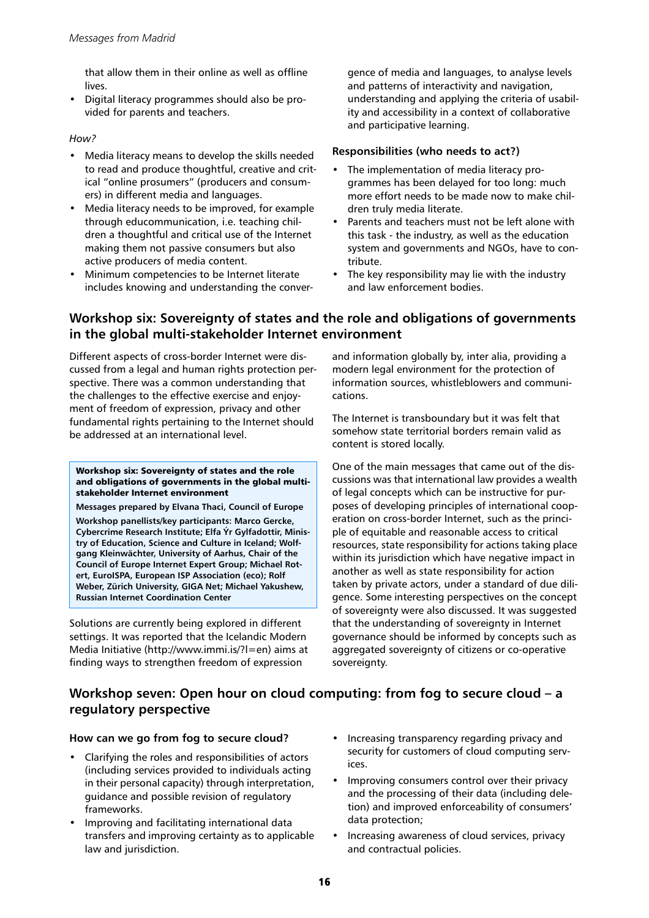that allow them in their online as well as offline lives.

• Digital literacy programmes should also be provided for parents and teachers.

## *How?*

- Media literacy means to develop the skills needed to read and produce thoughtful, creative and critical "online prosumers" (producers and consumers) in different media and languages.
- Media literacy needs to be improved, for example through educommunication, i.e. teaching children a thoughtful and critical use of the Internet making them not passive consumers but also active producers of media content.
- Minimum competencies to be Internet literate includes knowing and understanding the conver-

gence of media and languages, to analyse levels and patterns of interactivity and navigation, understanding and applying the criteria of usability and accessibility in a context of collaborative and participative learning.

## **Responsibilities (who needs to act?)**

- The implementation of media literacy programmes has been delayed for too long: much more effort needs to be made now to make children truly media literate.
- Parents and teachers must not be left alone with this task - the industry, as well as the education system and governments and NGOs, have to contribute.
- The key responsibility may lie with the industry and law enforcement bodies.

## **Workshop six: Sovereignty of states and the role and obligations of governments in the global multi-stakeholder Internet environment**

Different aspects of cross-border Internet were discussed from a legal and human rights protection perspective. There was a common understanding that the challenges to the effective exercise and enjoyment of freedom of expression, privacy and other fundamental rights pertaining to the Internet should be addressed at an international level.

#### Workshop six: Sovereignty of states and the role and obligations of governments in the global multistakeholder Internet environment

**Messages prepared by Elvana Thaci, Council of Europe Workshop panellists/key participants: Marco Gercke, Cybercrime Research Institute; Elfa Ýr Gylfadottir, Ministry of Education, Science and Culture in Iceland; Wolfgang Kleinwächter, University of Aarhus, Chair of the Council of Europe Internet Expert Group; Michael Rotert, EuroISPA, European ISP Association (eco); Rolf Weber, Zürich University, GIGA Net; Michael Yakushew, Russian Internet Coordination Center**

Solutions are currently being explored in different settings. It was reported that the Icelandic Modern Media Initiative (http://www.immi.is/?l=en) aims at finding ways to strengthen freedom of expression

and information globally by, inter alia, providing a modern legal environment for the protection of information sources, whistleblowers and communications.

The Internet is transboundary but it was felt that somehow state territorial borders remain valid as content is stored locally.

One of the main messages that came out of the discussions was that international law provides a wealth of legal concepts which can be instructive for purposes of developing principles of international cooperation on cross-border Internet, such as the principle of equitable and reasonable access to critical resources, state responsibility for actions taking place within its jurisdiction which have negative impact in another as well as state responsibility for action taken by private actors, under a standard of due diligence. Some interesting perspectives on the concept of sovereignty were also discussed. It was suggested that the understanding of sovereignty in Internet governance should be informed by concepts such as aggregated sovereignty of citizens or co-operative sovereignty.

## **Workshop seven: Open hour on cloud computing: from fog to secure cloud – a regulatory perspective**

## **How can we go from fog to secure cloud?**

- Clarifying the roles and responsibilities of actors (including services provided to individuals acting in their personal capacity) through interpretation, guidance and possible revision of regulatory frameworks.
- Improving and facilitating international data transfers and improving certainty as to applicable law and jurisdiction.
- Increasing transparency regarding privacy and security for customers of cloud computing services.
- Improving consumers control over their privacy and the processing of their data (including deletion) and improved enforceability of consumers' data protection;
- Increasing awareness of cloud services, privacy and contractual policies.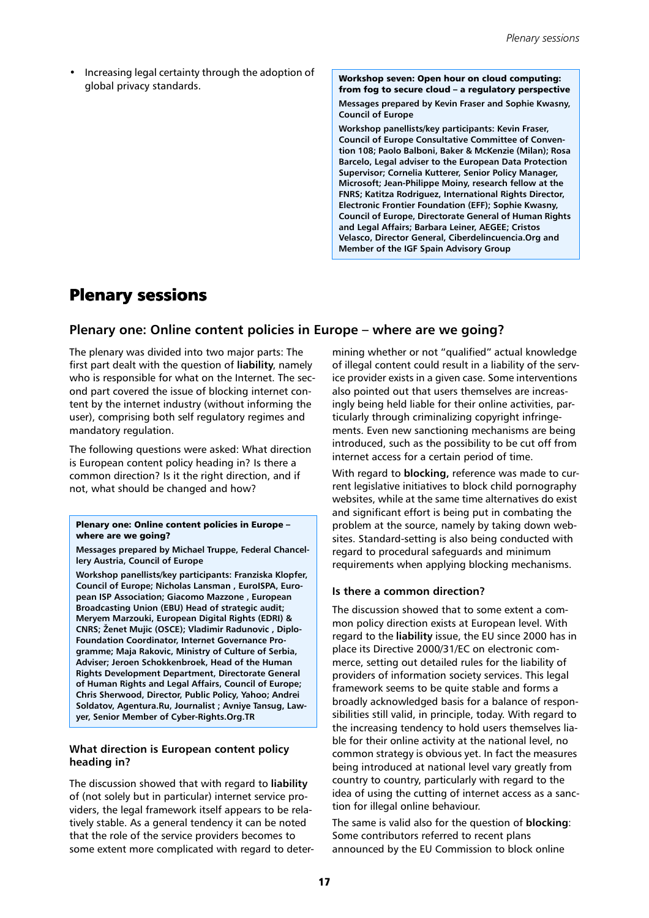• Increasing legal certainty through the adoption of global privacy standards.

Workshop seven: Open hour on cloud computing: from fog to secure cloud – a regulatory perspective

**Messages prepared by Kevin Fraser and Sophie Kwasny, Council of Europe**

**Workshop panellists/key participants: Kevin Fraser, Council of Europe Consultative Committee of Convention 108; Paolo Balboni, Baker & McKenzie (Milan); Rosa Barcelo, Legal adviser to the European Data Protection Supervisor; Cornelia Kutterer, Senior Policy Manager, Microsoft; Jean-Philippe Moiny, research fellow at the FNRS; Katitza Rodriguez, International Rights Director, Electronic Frontier Foundation (EFF); Sophie Kwasny, Council of Europe, Directorate General of Human Rights and Legal Affairs; Barbara Leiner, AEGEE; Cristos Velasco, Director General, Ciberdelincuencia.Org and Member of the IGF Spain Advisory Group**

## Plenary sessions

## **Plenary one: Online content policies in Europe – where are we going?**

The plenary was divided into two major parts: The first part dealt with the question of **liability**, namely who is responsible for what on the Internet. The second part covered the issue of blocking internet content by the internet industry (without informing the user), comprising both self regulatory regimes and mandatory regulation.

The following questions were asked: What direction is European content policy heading in? Is there a common direction? Is it the right direction, and if not, what should be changed and how?

#### Plenary one: Online content policies in Europe – where are we going?

**Messages prepared by Michael Truppe, Federal Chancellery Austria, Council of Europe**

**Workshop panellists/key participants: Franziska Klopfer, Council of Europe; Nicholas Lansman , EuroISPA, European ISP Association; Giacomo Mazzone , European Broadcasting Union (EBU) Head of strategic audit; Meryem Marzouki, European Digital Rights (EDRI) & CNRS; Ženet Mujic (OSCE); Vladimir Radunovic , Diplo-Foundation Coordinator, Internet Governance Programme; Maja Rakovic, Ministry of Culture of Serbia, Adviser; Jeroen Schokkenbroek, Head of the Human Rights Development Department, Directorate General of Human Rights and Legal Affairs, Council of Europe; Chris Sherwood, Director, Public Policy, Yahoo; Andrei Soldatov, Agentura.Ru, Journalist ; Avniye Tansug, Lawyer, Senior Member of Cyber-Rights.Org.TR**

## **What direction is European content policy heading in?**

The discussion showed that with regard to **liability** of (not solely but in particular) internet service providers, the legal framework itself appears to be relatively stable. As a general tendency it can be noted that the role of the service providers becomes to some extent more complicated with regard to deter-

mining whether or not "qualified" actual knowledge of illegal content could result in a liability of the service provider exists in a given case. Some interventions also pointed out that users themselves are increasingly being held liable for their online activities, particularly through criminalizing copyright infringements. Even new sanctioning mechanisms are being introduced, such as the possibility to be cut off from internet access for a certain period of time.

With regard to **blocking,** reference was made to current legislative initiatives to block child pornography websites, while at the same time alternatives do exist and significant effort is being put in combating the problem at the source, namely by taking down websites. Standard-setting is also being conducted with regard to procedural safeguards and minimum requirements when applying blocking mechanisms.

## **Is there a common direction?**

The discussion showed that to some extent a common policy direction exists at European level. With regard to the **liability** issue, the EU since 2000 has in place its Directive 2000/31/EC on electronic commerce, setting out detailed rules for the liability of providers of information society services. This legal framework seems to be quite stable and forms a broadly acknowledged basis for a balance of responsibilities still valid, in principle, today. With regard to the increasing tendency to hold users themselves liable for their online activity at the national level, no common strategy is obvious yet. In fact the measures being introduced at national level vary greatly from country to country, particularly with regard to the idea of using the cutting of internet access as a sanction for illegal online behaviour.

The same is valid also for the question of **blocking**: Some contributors referred to recent plans announced by the EU Commission to block online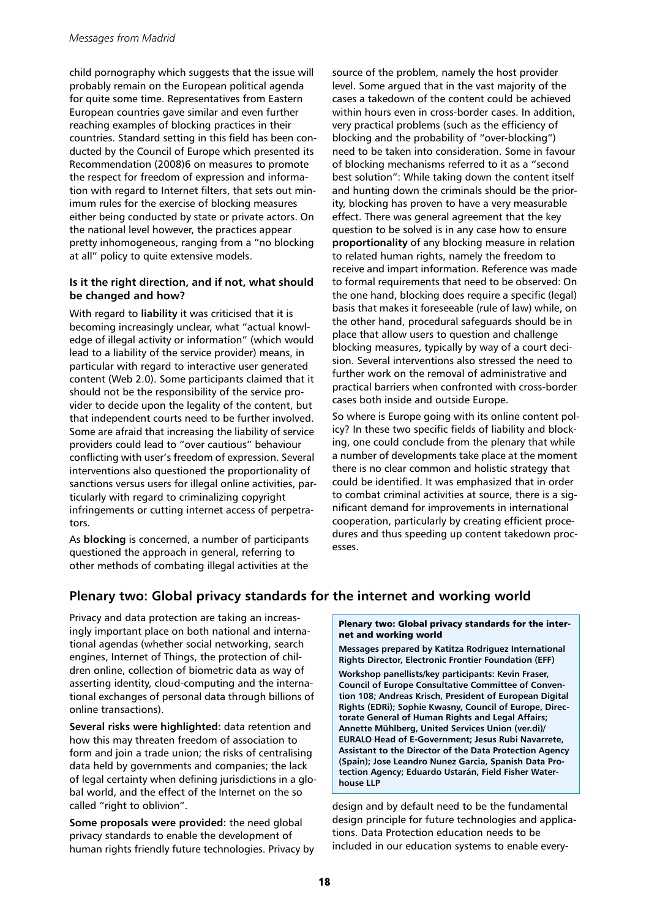child pornography which suggests that the issue will probably remain on the European political agenda for quite some time. Representatives from Eastern European countries gave similar and even further reaching examples of blocking practices in their countries. Standard setting in this field has been conducted by the Council of Europe which presented its Recommendation (2008)6 on measures to promote the respect for freedom of expression and information with regard to Internet filters, that sets out minimum rules for the exercise of blocking measures either being conducted by state or private actors. On the national level however, the practices appear pretty inhomogeneous, ranging from a "no blocking at all" policy to quite extensive models.

## **Is it the right direction, and if not, what should be changed and how?**

With regard to **liability** it was criticised that it is becoming increasingly unclear, what "actual knowledge of illegal activity or information" (which would lead to a liability of the service provider) means, in particular with regard to interactive user generated content (Web 2.0). Some participants claimed that it should not be the responsibility of the service provider to decide upon the legality of the content, but that independent courts need to be further involved. Some are afraid that increasing the liability of service providers could lead to "over cautious" behaviour conflicting with user's freedom of expression. Several interventions also questioned the proportionality of sanctions versus users for illegal online activities, particularly with regard to criminalizing copyright infringements or cutting internet access of perpetrators.

As **blocking** is concerned, a number of participants questioned the approach in general, referring to other methods of combating illegal activities at the source of the problem, namely the host provider level. Some argued that in the vast majority of the cases a takedown of the content could be achieved within hours even in cross-border cases. In addition, very practical problems (such as the efficiency of blocking and the probability of "over-blocking") need to be taken into consideration. Some in favour of blocking mechanisms referred to it as a "second best solution": While taking down the content itself and hunting down the criminals should be the priority, blocking has proven to have a very measurable effect. There was general agreement that the key question to be solved is in any case how to ensure **proportionality** of any blocking measure in relation to related human rights, namely the freedom to receive and impart information. Reference was made to formal requirements that need to be observed: On the one hand, blocking does require a specific (legal) basis that makes it foreseeable (rule of law) while, on the other hand, procedural safeguards should be in place that allow users to question and challenge blocking measures, typically by way of a court decision. Several interventions also stressed the need to further work on the removal of administrative and practical barriers when confronted with cross-border cases both inside and outside Europe.

So where is Europe going with its online content policy? In these two specific fields of liability and blocking, one could conclude from the plenary that while a number of developments take place at the moment there is no clear common and holistic strategy that could be identified. It was emphasized that in order to combat criminal activities at source, there is a significant demand for improvements in international cooperation, particularly by creating efficient procedures and thus speeding up content takedown processes.

## **Plenary two: Global privacy standards for the internet and working world**

Privacy and data protection are taking an increasingly important place on both national and international agendas (whether social networking, search engines, Internet of Things, the protection of children online, collection of biometric data as way of asserting identity, cloud-computing and the international exchanges of personal data through billions of online transactions).

**Several risks were highlighted:** data retention and how this may threaten freedom of association to form and join a trade union; the risks of centralising data held by governments and companies; the lack of legal certainty when defining jurisdictions in a global world, and the effect of the Internet on the so called "right to oblivion".

**Some proposals were provided:** the need global privacy standards to enable the development of human rights friendly future technologies. Privacy by

#### Plenary two: Global privacy standards for the internet and working world

**Messages prepared by Katitza Rodriguez International Rights Director, Electronic Frontier Foundation (EFF) Workshop panellists/key participants: Kevin Fraser, Council of Europe Consultative Committee of Convention 108; Andreas Krisch, President of European Digital Rights (EDRi); Sophie Kwasny, Council of Europe, Directorate General of Human Rights and Legal Affairs; Annette Mühlberg, United Services Union (ver.di)/ EURALO Head of E-Government; Jesus Rubi Navarrete, Assistant to the Director of the Data Protection Agency (Spain); Jose Leandro Nunez Garcia, Spanish Data Protection Agency; Eduardo Ustarán, Field Fisher Waterhouse LLP**

design and by default need to be the fundamental design principle for future technologies and applications. Data Protection education needs to be included in our education systems to enable every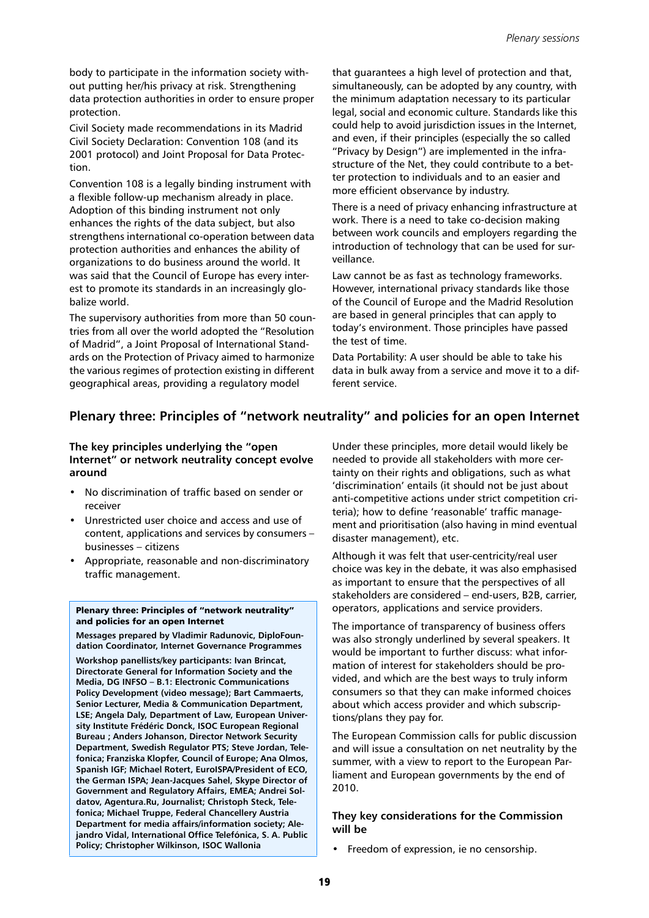body to participate in the information society without putting her/his privacy at risk. Strengthening data protection authorities in order to ensure proper protection.

Civil Society made recommendations in its Madrid Civil Society Declaration: Convention 108 (and its 2001 protocol) and Joint Proposal for Data Protection.

Convention 108 is a legally binding instrument with a flexible follow-up mechanism already in place. Adoption of this binding instrument not only enhances the rights of the data subject, but also strengthens international co-operation between data protection authorities and enhances the ability of organizations to do business around the world. It was said that the Council of Europe has every interest to promote its standards in an increasingly globalize world.

The supervisory authorities from more than 50 countries from all over the world adopted the "Resolution of Madrid", a Joint Proposal of International Standards on the Protection of Privacy aimed to harmonize the various regimes of protection existing in different geographical areas, providing a regulatory model

that guarantees a high level of protection and that, simultaneously, can be adopted by any country, with the minimum adaptation necessary to its particular legal, social and economic culture. Standards like this could help to avoid jurisdiction issues in the Internet, and even, if their principles (especially the so called "Privacy by Design") are implemented in the infrastructure of the Net, they could contribute to a better protection to individuals and to an easier and more efficient observance by industry.

There is a need of privacy enhancing infrastructure at work. There is a need to take co-decision making between work councils and employers regarding the introduction of technology that can be used for surveillance.

Law cannot be as fast as technology frameworks. However, international privacy standards like those of the Council of Europe and the Madrid Resolution are based in general principles that can apply to today's environment. Those principles have passed the test of time.

Data Portability: A user should be able to take his data in bulk away from a service and move it to a different service.

## **Plenary three: Principles of "network neutrality" and policies for an open Internet**

## **The key principles underlying the "open Internet" or network neutrality concept evolve around**

- No discrimination of traffic based on sender or receiver
- Unrestricted user choice and access and use of content, applications and services by consumers – businesses – citizens
- Appropriate, reasonable and non-discriminatory traffic management.

#### Plenary three: Principles of "network neutrality" and policies for an open Internet

**Messages prepared by Vladimir Radunovic, DiploFoundation Coordinator, Internet Governance Programmes**

**Workshop panellists/key participants: Ivan Brincat, Directorate General for Information Society and the Media, DG INFSO – B.1: Electronic Communications Policy Development (video message); Bart Cammaerts, Senior Lecturer, Media & Communication Department, LSE; Angela Daly, Department of Law, European University Institute Frédéric Donck, ISOC European Regional Bureau ; Anders Johanson, Director Network Security Department, Swedish Regulator PTS; Steve Jordan, Telefonica; Franziska Klopfer, Council of Europe; Ana Olmos, Spanish IGF; Michael Rotert, EuroISPA/President of ECO, the German ISPA; Jean-Jacques Sahel, Skype Director of Government and Regulatory Affairs, EMEA; Andrei Soldatov, Agentura.Ru, Journalist; Christoph Steck, Telefonica; Michael Truppe, Federal Chancellery Austria Department for media affairs/information society; Alejandro Vidal, International Office Telefónica, S. A. Public Policy; Christopher Wilkinson, ISOC Wallonia**

Under these principles, more detail would likely be needed to provide all stakeholders with more certainty on their rights and obligations, such as what 'discrimination' entails (it should not be just about anti-competitive actions under strict competition criteria); how to define 'reasonable' traffic management and prioritisation (also having in mind eventual disaster management), etc.

Although it was felt that user-centricity/real user choice was key in the debate, it was also emphasised as important to ensure that the perspectives of all stakeholders are considered – end-users, B2B, carrier, operators, applications and service providers.

The importance of transparency of business offers was also strongly underlined by several speakers. It would be important to further discuss: what information of interest for stakeholders should be provided, and which are the best ways to truly inform consumers so that they can make informed choices about which access provider and which subscriptions/plans they pay for.

The European Commission calls for public discussion and will issue a consultation on net neutrality by the summer, with a view to report to the European Parliament and European governments by the end of 2010.

## **They key considerations for the Commission will be**

• Freedom of expression, ie no censorship.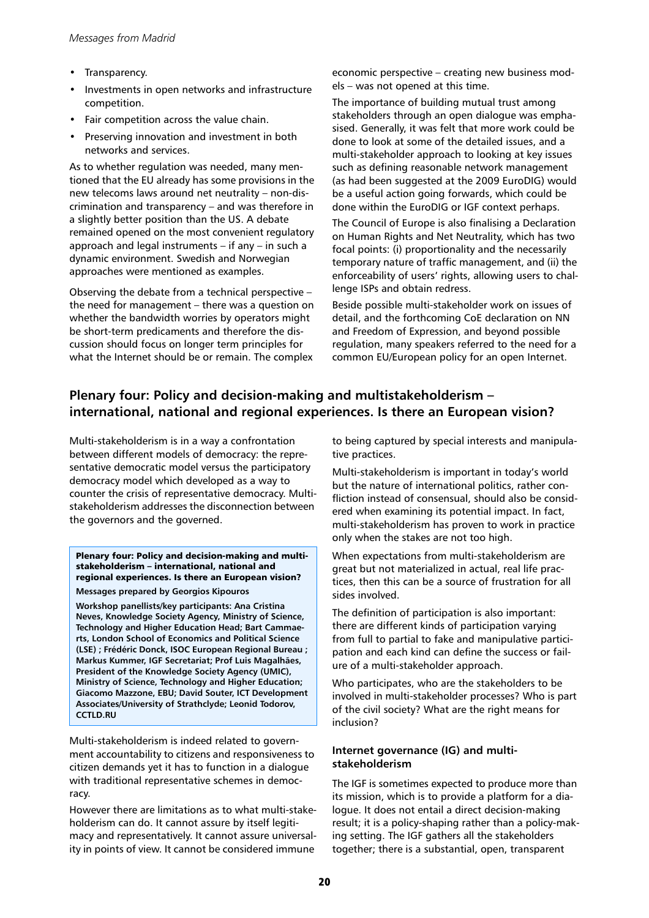- Transparency.
- Investments in open networks and infrastructure competition.
- Fair competition across the value chain.
- Preserving innovation and investment in both networks and services.

As to whether regulation was needed, many mentioned that the EU already has some provisions in the new telecoms laws around net neutrality – non-discrimination and transparency – and was therefore in a slightly better position than the US. A debate remained opened on the most convenient regulatory approach and legal instruments – if any – in such a dynamic environment. Swedish and Norwegian approaches were mentioned as examples.

Observing the debate from a technical perspective – the need for management – there was a question on whether the bandwidth worries by operators might be short-term predicaments and therefore the discussion should focus on longer term principles for what the Internet should be or remain. The complex

economic perspective – creating new business models – was not opened at this time.

The importance of building mutual trust among stakeholders through an open dialogue was emphasised. Generally, it was felt that more work could be done to look at some of the detailed issues, and a multi-stakeholder approach to looking at key issues such as defining reasonable network management (as had been suggested at the 2009 EuroDIG) would be a useful action going forwards, which could be done within the EuroDIG or IGF context perhaps.

The Council of Europe is also finalising a Declaration on Human Rights and Net Neutrality, which has two focal points: (i) proportionality and the necessarily temporary nature of traffic management, and (ii) the enforceability of users' rights, allowing users to challenge ISPs and obtain redress.

Beside possible multi-stakeholder work on issues of detail, and the forthcoming CoE declaration on NN and Freedom of Expression, and beyond possible regulation, many speakers referred to the need for a common EU/European policy for an open Internet.

## **Plenary four: Policy and decision-making and multistakeholderism – international, national and regional experiences. Is there an European vision?**

Multi-stakeholderism is in a way a confrontation between different models of democracy: the representative democratic model versus the participatory democracy model which developed as a way to counter the crisis of representative democracy. Multistakeholderism addresses the disconnection between the governors and the governed.

#### Plenary four: Policy and decision-making and multistakeholderism – international, national and regional experiences. Is there an European vision?

**Messages prepared by Georgios Kipouros**

**Workshop panellists/key participants: Ana Cristina Neves, Knowledge Society Agency, Ministry of Science, Technology and Higher Education Head; Bart Cammaerts, London School of Economics and Political Science (LSE) ; Frédéric Donck, ISOC European Regional Bureau ; Markus Kummer, IGF Secretariat; Prof Luis Magalhães, President of the Knowledge Society Agency (UMIC), Ministry of Science, Technology and Higher Education; Giacomo Mazzone, EBU; David Souter, ICT Development Associates/University of Strathclyde; Leonid Todorov, CCTLD.RU**

Multi-stakeholderism is indeed related to government accountability to citizens and responsiveness to citizen demands yet it has to function in a dialogue with traditional representative schemes in democracy.

However there are limitations as to what multi-stakeholderism can do. It cannot assure by itself legitimacy and representatively. It cannot assure universality in points of view. It cannot be considered immune

to being captured by special interests and manipulative practices.

Multi-stakeholderism is important in today's world but the nature of international politics, rather confliction instead of consensual, should also be considered when examining its potential impact. In fact, multi-stakeholderism has proven to work in practice only when the stakes are not too high.

When expectations from multi-stakeholderism are great but not materialized in actual, real life practices, then this can be a source of frustration for all sides involved.

The definition of participation is also important: there are different kinds of participation varying from full to partial to fake and manipulative participation and each kind can define the success or failure of a multi-stakeholder approach.

Who participates, who are the stakeholders to be involved in multi-stakeholder processes? Who is part of the civil society? What are the right means for inclusion?

## **Internet governance (IG) and multistakeholderism**

The IGF is sometimes expected to produce more than its mission, which is to provide a platform for a dialogue. It does not entail a direct decision-making result; it is a policy-shaping rather than a policy-making setting. The IGF gathers all the stakeholders together; there is a substantial, open, transparent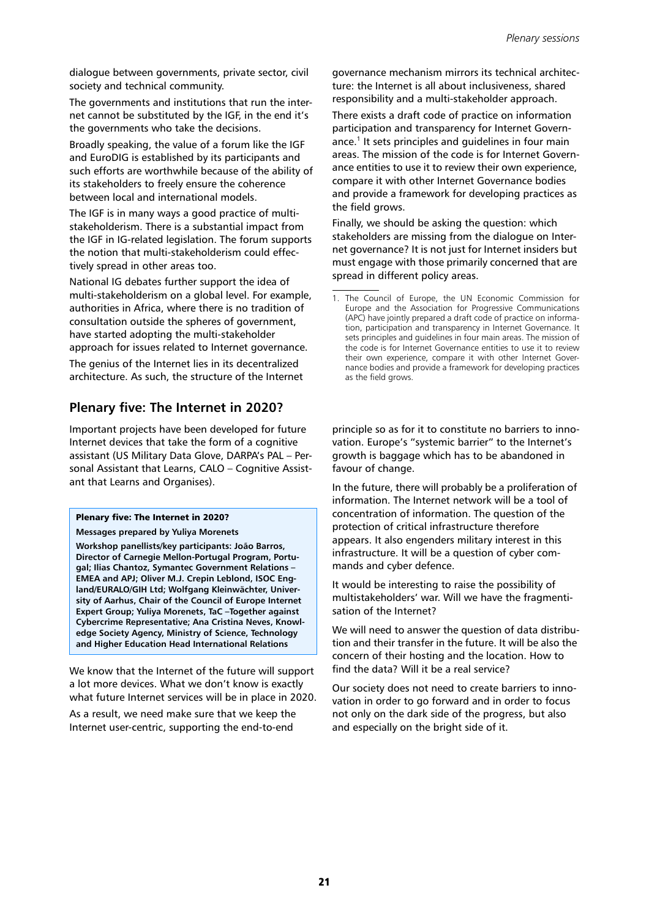dialogue between governments, private sector, civil society and technical community.

The governments and institutions that run the internet cannot be substituted by the IGF, in the end it's the governments who take the decisions.

Broadly speaking, the value of a forum like the IGF and EuroDIG is established by its participants and such efforts are worthwhile because of the ability of its stakeholders to freely ensure the coherence between local and international models.

The IGF is in many ways a good practice of multistakeholderism. There is a substantial impact from the IGF in IG-related legislation. The forum supports the notion that multi-stakeholderism could effectively spread in other areas too.

National IG debates further support the idea of multi-stakeholderism on a global level. For example, authorities in Africa, where there is no tradition of consultation outside the spheres of government, have started adopting the multi-stakeholder approach for issues related to Internet governance.

The genius of the Internet lies in its decentralized architecture. As such, the structure of the Internet

## **Plenary five: The Internet in 2020?**

Important projects have been developed for future Internet devices that take the form of a cognitive assistant (US Military Data Glove, DARPA's PAL – Personal Assistant that Learns, CALO – Cognitive Assistant that Learns and Organises).

## Plenary five: The Internet in 2020?

**Messages prepared by Yuliya Morenets**

**Workshop panellists/key participants: João Barros, Director of Carnegie Mellon-Portugal Program, Portugal; Ilias Chantoz, Symantec Government Relations – EMEA and APJ; Oliver M.J. Crepin Leblond, ISOC England/EURALO/GIH Ltd; Wolfgang Kleinwächter, University of Aarhus, Chair of the Council of Europe Internet Expert Group; Yuliya Morenets, TaC –Together against Cybercrime Representative; Ana Cristina Neves, Knowledge Society Agency, Ministry of Science, Technology and Higher Education Head International Relations**

We know that the Internet of the future will support a lot more devices. What we don't know is exactly what future Internet services will be in place in 2020.

As a result, we need make sure that we keep the Internet user-centric, supporting the end-to-end

governance mechanism mirrors its technical architecture: the Internet is all about inclusiveness, shared responsibility and a multi-stakeholder approach.

There exists a draft code of practice on information participation and transparency for Internet Governance.<sup>1</sup> It sets principles and guidelines in four main areas. The mission of the code is for Internet Governance entities to use it to review their own experience, compare it with other Internet Governance bodies and provide a framework for developing practices as the field grows.

Finally, we should be asking the question: which stakeholders are missing from the dialogue on Internet governance? It is not just for Internet insiders but must engage with those primarily concerned that are spread in different policy areas.

principle so as for it to constitute no barriers to innovation. Europe's "systemic barrier" to the Internet's growth is baggage which has to be abandoned in favour of change.

In the future, there will probably be a proliferation of information. The Internet network will be a tool of concentration of information. The question of the protection of critical infrastructure therefore appears. It also engenders military interest in this infrastructure. It will be a question of cyber commands and cyber defence.

It would be interesting to raise the possibility of multistakeholders' war. Will we have the fragmentisation of the Internet?

We will need to answer the question of data distribution and their transfer in the future. It will be also the concern of their hosting and the location. How to find the data? Will it be a real service?

Our society does not need to create barriers to innovation in order to go forward and in order to focus not only on the dark side of the progress, but also and especially on the bright side of it.

<sup>1.</sup> The Council of Europe, the UN Economic Commission for Europe and the Association for Progressive Communications (APC) have jointly prepared a draft code of practice on information, participation and transparency in Internet Governance. It sets principles and guidelines in four main areas. The mission of the code is for Internet Governance entities to use it to review their own experience, compare it with other Internet Governance bodies and provide a framework for developing practices as the field grows.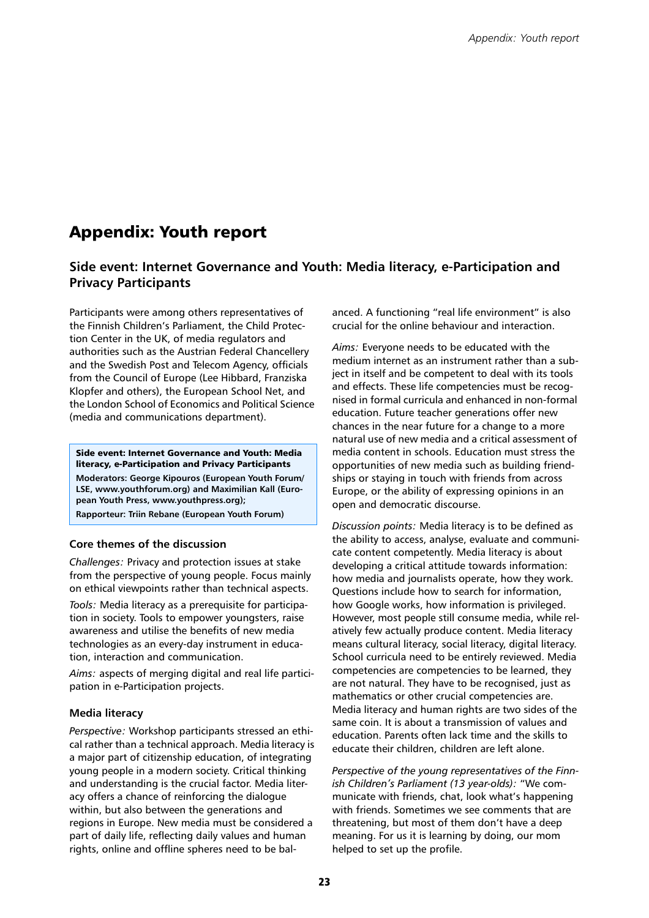## Appendix: Youth report

## **Side event: Internet Governance and Youth: Media literacy, e-Participation and Privacy Participants**

Participants were among others representatives of the Finnish Children's Parliament, the Child Protection Center in the UK, of media regulators and authorities such as the Austrian Federal Chancellery and the Swedish Post and Telecom Agency, officials from the Council of Europe (Lee Hibbard, Franziska Klopfer and others), the European School Net, and the London School of Economics and Political Science (media and communications department).

Side event: Internet Governance and Youth: Media literacy, e-Participation and Privacy Participants **Moderators: George Kipouros (European Youth Forum/ LSE, www.youthforum.org) and Maximilian Kall (European Youth Press, www.youthpress.org); Rapporteur: Triin Rebane (European Youth Forum)**

## **Core themes of the discussion**

*Challenges:* Privacy and protection issues at stake from the perspective of young people. Focus mainly on ethical viewpoints rather than technical aspects.

*Tools:* Media literacy as a prerequisite for participation in society. Tools to empower youngsters, raise awareness and utilise the benefits of new media technologies as an every-day instrument in education, interaction and communication.

*Aims:* aspects of merging digital and real life participation in e-Participation projects.

## **Media literacy**

*Perspective:* Workshop participants stressed an ethical rather than a technical approach. Media literacy is a major part of citizenship education, of integrating young people in a modern society. Critical thinking and understanding is the crucial factor. Media literacy offers a chance of reinforcing the dialogue within, but also between the generations and regions in Europe. New media must be considered a part of daily life, reflecting daily values and human rights, online and offline spheres need to be bal-

anced. A functioning "real life environment" is also crucial for the online behaviour and interaction.

*Aims:* Everyone needs to be educated with the medium internet as an instrument rather than a subject in itself and be competent to deal with its tools and effects. These life competencies must be recognised in formal curricula and enhanced in non-formal education. Future teacher generations offer new chances in the near future for a change to a more natural use of new media and a critical assessment of media content in schools. Education must stress the opportunities of new media such as building friendships or staying in touch with friends from across Europe, or the ability of expressing opinions in an open and democratic discourse.

*Discussion points:* Media literacy is to be defined as the ability to access, analyse, evaluate and communicate content competently. Media literacy is about developing a critical attitude towards information: how media and journalists operate, how they work. Questions include how to search for information, how Google works, how information is privileged. However, most people still consume media, while relatively few actually produce content. Media literacy means cultural literacy, social literacy, digital literacy. School curricula need to be entirely reviewed. Media competencies are competencies to be learned, they are not natural. They have to be recognised, just as mathematics or other crucial competencies are. Media literacy and human rights are two sides of the same coin. It is about a transmission of values and education. Parents often lack time and the skills to educate their children, children are left alone.

*Perspective of the young representatives of the Finnish Children's Parliament (13 year-olds):* "We communicate with friends, chat, look what's happening with friends. Sometimes we see comments that are threatening, but most of them don't have a deep meaning. For us it is learning by doing, our mom helped to set up the profile.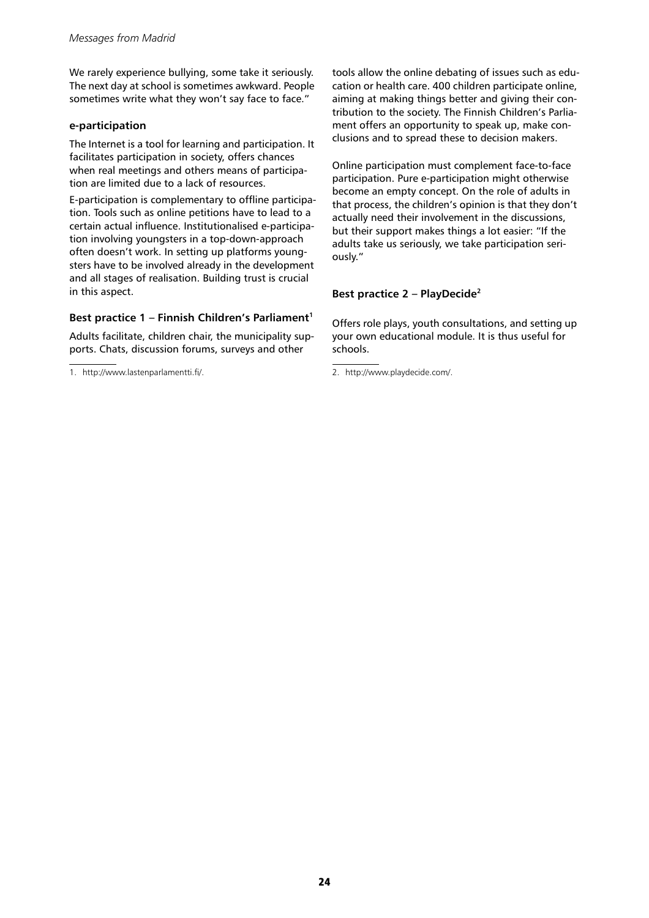We rarely experience bullying, some take it seriously. The next day at school is sometimes awkward. People sometimes write what they won't say face to face."

## **e-participation**

The Internet is a tool for learning and participation. It facilitates participation in society, offers chances when real meetings and others means of participation are limited due to a lack of resources.

E-participation is complementary to offline participation. Tools such as online petitions have to lead to a certain actual influence. Institutionalised e-participation involving youngsters in a top-down-approach often doesn't work. In setting up platforms youngsters have to be involved already in the development and all stages of realisation. Building trust is crucial in this aspect.

## **Best practice 1 – Finnish Children's Parliament<sup>1</sup>**

Adults facilitate, children chair, the municipality supports. Chats, discussion forums, surveys and other

1. http://www.lastenparlamentti.fi/. 2. http://www.playdecide.com/.

tools allow the online debating of issues such as education or health care. 400 children participate online, aiming at making things better and giving their contribution to the society. The Finnish Children's Parliament offers an opportunity to speak up, make conclusions and to spread these to decision makers.

Online participation must complement face-to-face participation. Pure e-participation might otherwise become an empty concept. On the role of adults in that process, the children's opinion is that they don't actually need their involvement in the discussions, but their support makes things a lot easier: "If the adults take us seriously, we take participation seriously."

## **Best practice 2 – PlayDecide<sup>2</sup>**

Offers role plays, youth consultations, and setting up your own educational module. It is thus useful for schools.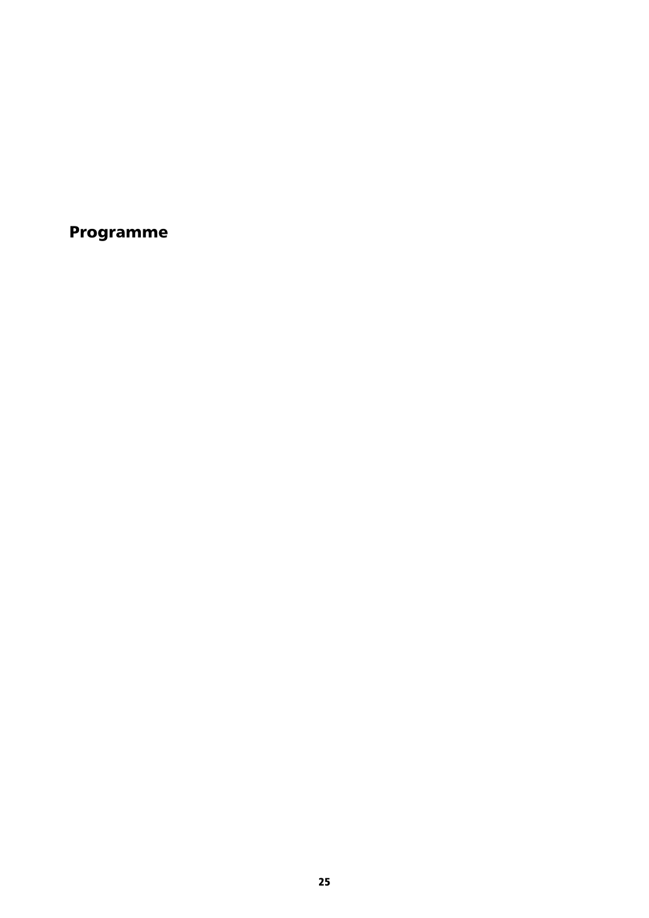Programme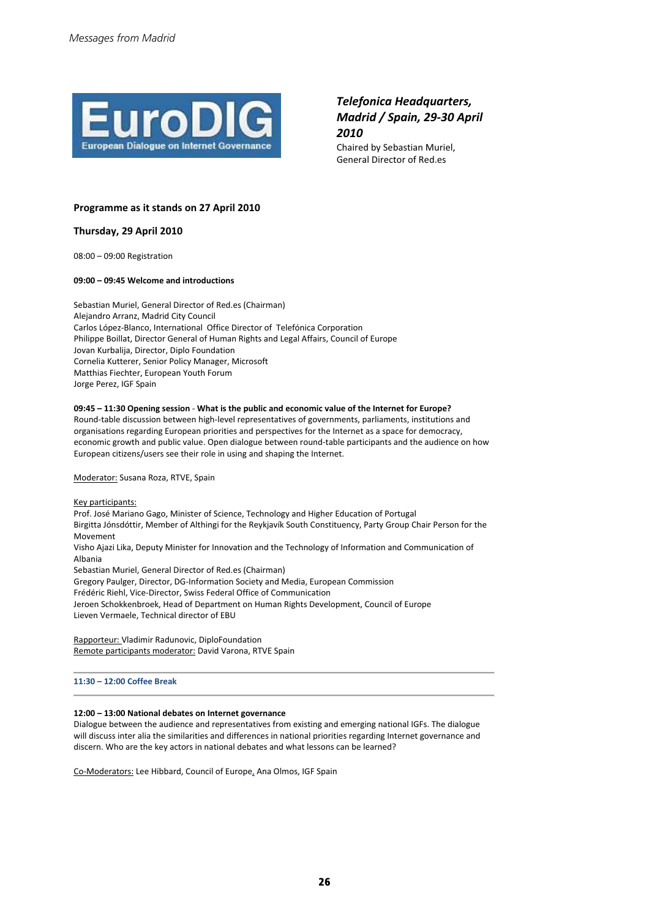

## *Telefonica Headquarters, Madrid / Spain, 29-30 April 2010*

Chaired by Sebastian Muriel, General Director of Red.es

#### **Programme as it stands on 27 April 2010**

**Thursday, 29 April 2010**

08:00 – 09:00 Registration

#### **09:00 – 09:45 Welcome and introductions**

Sebastian Muriel, General Director of Red.es (Chairman) Alejandro Arranz, Madrid City Council Carlos López-Blanco, International Office Director of Telefónica Corporation Philippe Boillat, Director General of Human Rights and Legal Affairs, Council of Europe Jovan Kurbalija, Director, Diplo Foundation Cornelia Kutterer, Senior Policy Manager, Microsoft Matthias Fiechter, European Youth Forum Jorge Perez, IGF Spain

#### **09:45 – 11:30 Opening session** - **What is the public and economic value of the Internet for Europe?**

Round-table discussion between high-level representatives of governments, parliaments, institutions and organisations regarding European priorities and perspectives for the Internet as a space for democracy, economic growth and public value. Open dialogue between round-table participants and the audience on how European citizens/users see their role in using and shaping the Internet.

Moderator: Susana Roza, RTVE, Spain

#### Key participants:

Prof. José Mariano Gago, Minister of Science, Technology and Higher Education of Portugal Birgitta Jónsdóttir, Member of Althingi for the Reykjavík South Constituency, Party Group Chair Person for the Movement

Visho Ajazi Lika, Deputy Minister for Innovation and the Technology of Information and Communication of Albania

Sebastian Muriel, General Director of Red.es (Chairman)

Gregory Paulger, Director, DG-Information Society and Media, European Commission

Frédéric Riehl, Vice-Director, Swiss Federal Office of Communication

Jeroen Schokkenbroek, Head of Department on Human Rights Development, Council of Europe Lieven Vermaele, Technical director of EBU

Rapporteur: Vladimir Radunovic, DiploFoundation Remote participants moderator: David Varona, RTVE Spain

**11:30 – 12:00 Coffee Break** 

#### **12:00 – 13:00 National debates on Internet governance**

Dialogue between the audience and representatives from existing and emerging national IGFs. The dialogue will discuss inter alia the similarities and differences in national priorities regarding Internet governance and discern. Who are the key actors in national debates and what lessons can be learned?

Co-Moderators: Lee Hibbard, Council of Europe, Ana Olmos, IGF Spain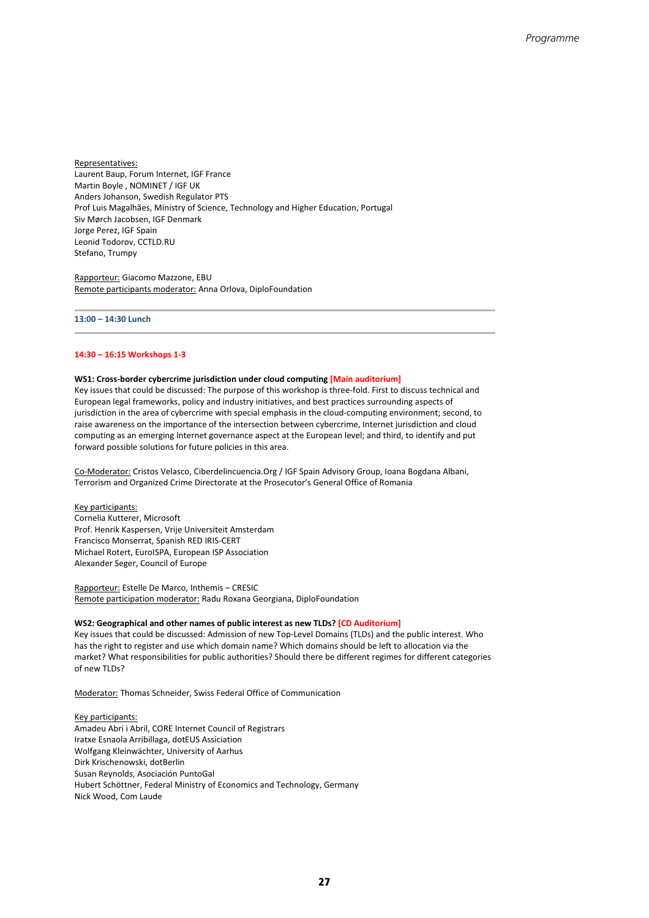Representatives: Laurent Baup, Forum Internet, IGF France Martin Boyle , NOMINET / IGF UK Anders Johanson, Swedish Regulator PTS Prof Luis Magalhães, Ministry of Science, Technology and Higher Education, Portugal Siv Mørch Jacobsen, IGF Denmark Jorge Perez, IGF Spain Leonid Todorov, CCTLD.RU Stefano, Trumpy

Rapporteur: Giacomo Mazzone, EBU Remote participants moderator: Anna Orlova, DiploFoundation

#### **13:00 – 14:30 Lunch**

#### **14:30 – 16:15 Workshops 1-3**

#### **WS1: Cross-border cybercrime jurisdiction under cloud computing [Main auditorium]**

Key issues that could be discussed: The purpose of this workshop is three-fold. First to discuss technical and European legal frameworks, policy and industry initiatives, and best practices surrounding aspects of jurisdiction in the area of cybercrime with special emphasis in the cloud-computing environment; second, to raise awareness on the importance of the intersection between cybercrime, Internet jurisdiction and cloud computing as an emerging Internet governance aspect at the European level; and third, to identify and put forward possible solutions for future policies in this area.

Co-Moderator: Cristos Velasco, Ciberdelincuencia.Org / IGF Spain Advisory Group, Ioana Bogdana Albani, Terrorism and Organized Crime Directorate at the Prosecutor's General Office of Romania

Key participants: Cornelia Kutterer, Microsoft Prof. Henrik Kaspersen, Vrije Universiteit Amsterdam Francisco Monserrat, Spanish RED IRIS-CERT Michael Rotert, EuroISPA, European ISP Association Alexander Seger, Council of Europe

Rapporteur: Estelle De Marco, Inthemis – CRESIC Remote participation moderator: Radu Roxana Georgiana, DiploFoundation

#### **WS2: Geographical and other names of public interest as new TLDs? [CD Auditorium]**

Key issues that could be discussed: Admission of new Top-Level Domains (TLDs) and the public interest. Who has the right to register and use which domain name? Which domains should be left to allocation via the market? What responsibilities for public authorities? Should there be different regimes for different categories of new TLDs?

Moderator: Thomas Schneider, Swiss Federal Office of Communication

Key participants: Amadeu Abri i Abril, CORE Internet Council of Registrars Iratxe Esnaola Arribillaga, dotEUS Assiciation Wolfgang Kleinwächter, University of Aarhus Dirk Krischenowski, dotBerlin Susan Reynolds, Asociación PuntoGal Hubert Schöttner, Federal Ministry of Economics and Technology, Germany Nick Wood, Com Laude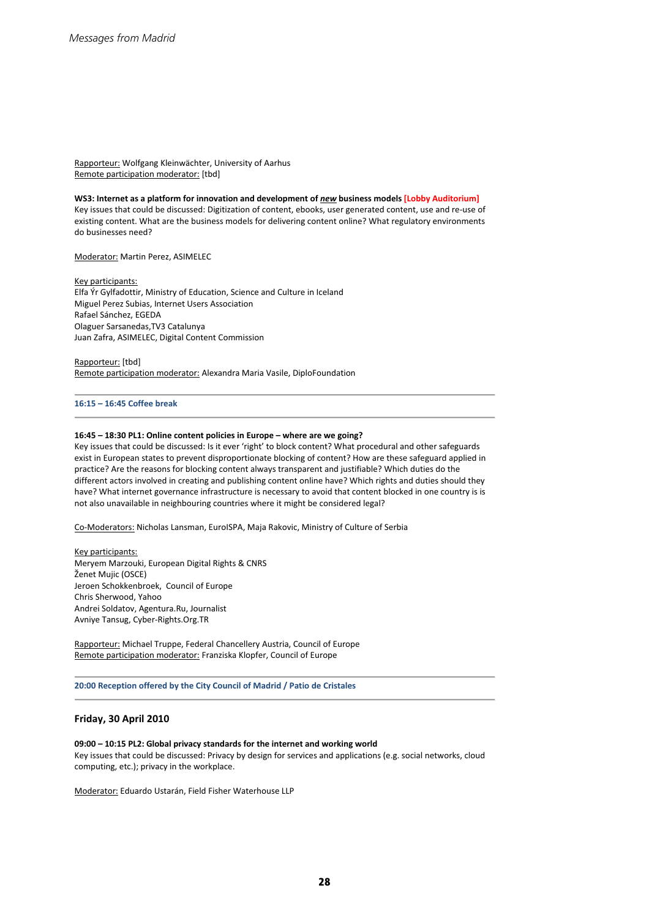Rapporteur: Wolfgang Kleinwächter, University of Aarhus Remote participation moderator: [tbd]

#### **WS3: Internet as a platform for innovation and development of** *new* **business models [Lobby Auditorium]**

Key issues that could be discussed: Digitization of content, ebooks, user generated content, use and re-use of existing content. What are the business models for delivering content online? What regulatory environments do businesses need?

Moderator: Martin Perez, ASIMELEC

Key participants: Elfa Ýr Gylfadottir, Ministry of Education, Science and Culture in Iceland Miguel Perez Subias, Internet Users Association Rafael Sánchez, EGEDA Olaguer Sarsanedas,TV3 Catalunya Juan Zafra, ASIMELEC, Digital Content Commission

Rapporteur: [tbd] Remote participation moderator: Alexandra Maria Vasile, DiploFoundation

#### **16:15 – 16:45 Coffee break**

#### **16:45 – 18:30 PL1: Online content policies in Europe – where are we going?**

Key issues that could be discussed: Is it ever 'right' to block content? What procedural and other safeguards exist in European states to prevent disproportionate blocking of content? How are these safeguard applied in practice? Are the reasons for blocking content always transparent and justifiable? Which duties do the different actors involved in creating and publishing content online have? Which rights and duties should they have? What internet governance infrastructure is necessary to avoid that content blocked in one country is is not also unavailable in neighbouring countries where it might be considered legal?

Co-Moderators: Nicholas Lansman, EuroISPA, Maja Rakovic, Ministry of Culture of Serbia

Key participants: Meryem Marzouki, European Digital Rights & CNRS Ženet Mujic (OSCE) Jeroen Schokkenbroek, Council of Europe Chris Sherwood, Yahoo Andrei Soldatov, Agentura.Ru, Journalist Avniye Tansug, Cyber-Rights.Org.TR

Rapporteur: Michael Truppe, Federal Chancellery Austria, Council of Europe Remote participation moderator: Franziska Klopfer, Council of Europe

**20:00 Reception offered by the City Council of Madrid / Patio de Cristales**

#### **Friday, 30 April 2010**

#### **09:00 – 10:15 PL2: Global privacy standards for the internet and working world**

Key issues that could be discussed: Privacy by design for services and applications (e.g. social networks, cloud computing, etc.); privacy in the workplace.

Moderator: Eduardo Ustarán, Field Fisher Waterhouse LLP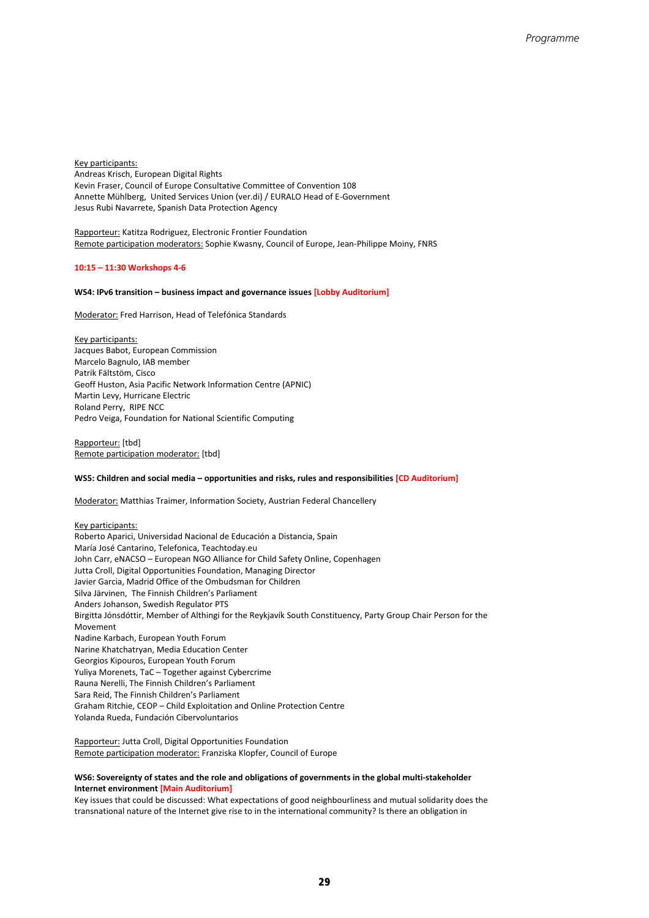Key participants: Andreas Krisch, European Digital Rights Kevin Fraser, Council of Europe Consultative Committee of Convention 108 Annette Mühlberg, United Services Union (ver.di) / EURALO Head of E-Government Jesus Rubi Navarrete, Spanish Data Protection Agency

Rapporteur: Katitza Rodriguez, Electronic Frontier Foundation Remote participation moderators: Sophie Kwasny, Council of Europe, Jean-Philippe Moiny, FNRS

#### **10:15 – 11:30 Workshops 4-6**

#### **WS4: IPv6 transition – business impact and governance issues [Lobby Auditorium]**

Moderator: Fred Harrison, Head of Telefónica Standards

Key participants: Jacques Babot, European Commission Marcelo Bagnulo, IAB member Patrik Fältstöm, Cisco Geoff Huston, Asia Pacific Network Information Centre (APNIC) Martin Levy, Hurricane Electric Roland Perry, RIPE NCC Pedro Veiga, Foundation for National Scientific Computing

Rapporteur: [tbd] Remote participation moderator: [tbd]

#### **WS5: Children and social media – opportunities and risks, rules and responsibilities [CD Auditorium]**

Moderator: Matthias Traimer, Information Society, Austrian Federal Chancellery

Key participants: Roberto Aparici, Universidad Nacional de Educación a Distancia, Spain María José Cantarino, Telefonica, Teachtoday.eu John Carr, eNACSO – European NGO Alliance for Child Safety Online, Copenhagen Jutta Croll, Digital Opportunities Foundation, Managing Director Javier Garcia, Madrid Office of the Ombudsman for Children Silva Järvinen, The Finnish Children's Parliament Anders Johanson, Swedish Regulator PTS Birgitta Jónsdóttir, Member of Althingi for the Reykjavík South Constituency, Party Group Chair Person for the Movement Nadine Karbach, European Youth Forum Narine Khatchatryan, Media Education Center Georgios Kipouros, European Youth Forum Yuliya Morenets, TaC – Together against Cybercrime Rauna Nerelli, The Finnish Children's Parliament Sara Reid, The Finnish Children's Parliament Graham Ritchie, CEOP – Child Exploitation and Online Protection Centre Yolanda Rueda, Fundación Cibervoluntarios

Rapporteur: Jutta Croll, Digital Opportunities Foundation Remote participation moderator: Franziska Klopfer, Council of Europe

#### **WS6: Sovereignty of states and the role and obligations of governments in the global multi-stakeholder Internet environment [Main Auditorium]**

Key issues that could be discussed: What expectations of good neighbourliness and mutual solidarity does the transnational nature of the Internet give rise to in the international community? Is there an obligation in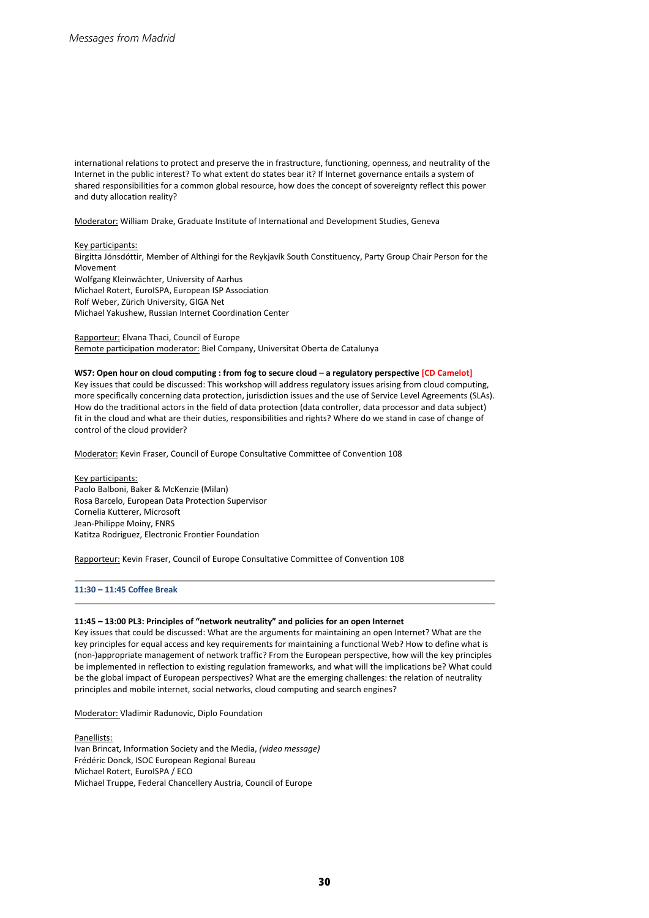international relations to protect and preserve the in frastructure, functioning, openness, and neutrality of the Internet in the public interest? To what extent do states bear it? If Internet governance entails a system of shared responsibilities for a common global resource, how does the concept of sovereignty reflect this power and duty allocation reality?

Moderator: William Drake, Graduate Institute of International and Development Studies, Geneva

#### Key participants:

Birgitta Jónsdóttir, Member of Althingi for the Reykjavík South Constituency, Party Group Chair Person for the Movement Wolfgang Kleinwächter, University of Aarhus Michael Rotert, EuroISPA, European ISP Association Rolf Weber, Zürich University, GIGA Net Michael Yakushew, Russian Internet Coordination Center

Rapporteur: Elvana Thaci, Council of Europe Remote participation moderator: Biel Company, Universitat Oberta de Catalunya

#### **WS7: Open hour on cloud computing : from fog to secure cloud – a regulatory perspective [CD Camelot]**

Key issues that could be discussed: This workshop will address regulatory issues arising from cloud computing, more specifically concerning data protection, jurisdiction issues and the use of Service Level Agreements (SLAs). How do the traditional actors in the field of data protection (data controller, data processor and data subject) fit in the cloud and what are their duties, responsibilities and rights? Where do we stand in case of change of control of the cloud provider?

Moderator: Kevin Fraser, Council of Europe Consultative Committee of Convention 108

Key participants: Paolo Balboni, Baker & McKenzie (Milan) Rosa Barcelo, European Data Protection Supervisor Cornelia Kutterer, Microsoft Jean-Philippe Moiny, FNRS Katitza Rodriguez, Electronic Frontier Foundation

Rapporteur: Kevin Fraser, Council of Europe Consultative Committee of Convention 108

#### **11:30 – 11:45 Coffee Break**

#### **11:45 – 13:00 PL3: Principles of "network neutrality" and policies for an open Internet**

Key issues that could be discussed: What are the arguments for maintaining an open Internet? What are the key principles for equal access and key requirements for maintaining a functional Web? How to define what is (non-)appropriate management of network traffic? From the European perspective, how will the key principles be implemented in reflection to existing regulation frameworks, and what will the implications be? What could be the global impact of European perspectives? What are the emerging challenges: the relation of neutrality principles and mobile internet, social networks, cloud computing and search engines?

Moderator: Vladimir Radunovic, Diplo Foundation

Panellists: Ivan Brincat, Information Society and the Media, *(video message)* Frédéric Donck, ISOC European Regional Bureau Michael Rotert, EuroISPA / ECO Michael Truppe, Federal Chancellery Austria, Council of Europe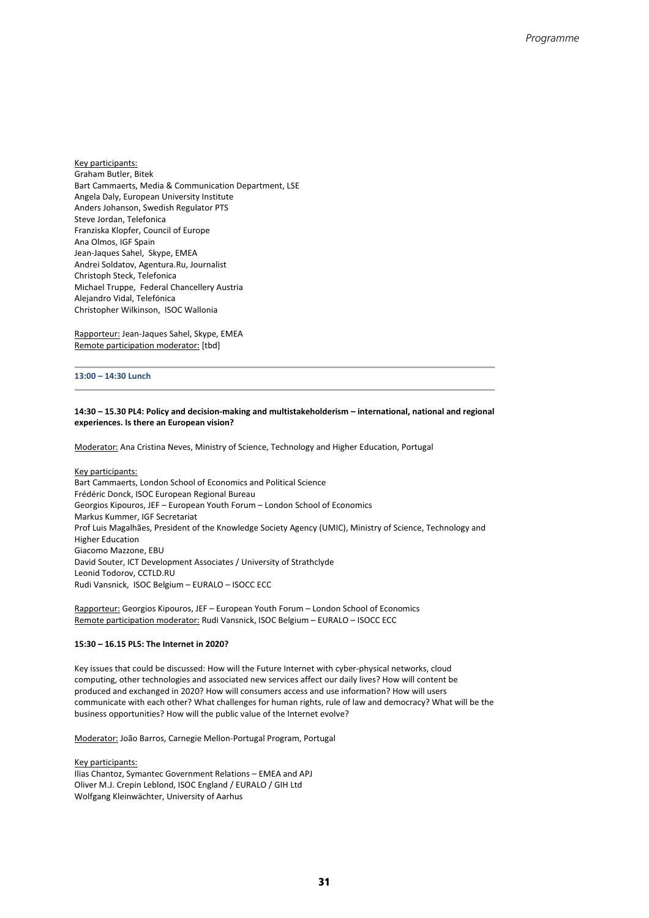Key participants: Graham Butler, Bitek Bart Cammaerts, Media & Communication Department, LSE Angela Daly, European University Institute Anders Johanson, Swedish Regulator PTS Steve Jordan, Telefonica Franziska Klopfer, Council of Europe Ana Olmos, IGF Spain Jean-Jaques Sahel, Skype, EMEA Andrei Soldatov, Agentura.Ru, Journalist Christoph Steck, Telefonica Michael Truppe, Federal Chancellery Austria Alejandro Vidal, Telefónica Christopher Wilkinson, ISOC Wallonia

Rapporteur: Jean-Jaques Sahel, Skype, EMEA Remote participation moderator: [tbd]

#### **13:00 – 14:30 Lunch**

#### **14:30 – 15.30 PL4: Policy and decision-making and multistakeholderism – international, national and regional experiences. Is there an European vision?**

Moderator: Ana Cristina Neves, Ministry of Science, Technology and Higher Education, Portugal

Key participants: Bart Cammaerts, London School of Economics and Political Science Frédéric Donck, ISOC European Regional Bureau Georgios Kipouros, JEF – European Youth Forum – London School of Economics Markus Kummer, IGF Secretariat Prof Luis Magalhães, President of the Knowledge Society Agency (UMIC), Ministry of Science, Technology and Higher Education Giacomo Mazzone, EBU David Souter, ICT Development Associates / University of Strathclyde Leonid Todorov, CCTLD.RU Rudi Vansnick, ISOC Belgium – EURALO – ISOCC ECC

Rapporteur: Georgios Kipouros, JEF – European Youth Forum – London School of Economics Remote participation moderator: Rudi Vansnick, ISOC Belgium – EURALO – ISOCC ECC

#### **15:30 – 16.15 PL5: The Internet in 2020?**

Key issues that could be discussed: How will the Future Internet with cyber-physical networks, cloud computing, other technologies and associated new services affect our daily lives? How will content be produced and exchanged in 2020? How will consumers access and use information? How will users communicate with each other? What challenges for human rights, rule of law and democracy? What will be the business opportunities? How will the public value of the Internet evolve?

Moderator: João Barros, Carnegie Mellon-Portugal Program, Portugal

Key participants: Ilias Chantoz, Symantec Government Relations – EMEA and APJ Oliver M.J. Crepin Leblond, ISOC England / EURALO / GIH Ltd Wolfgang Kleinwächter, University of Aarhus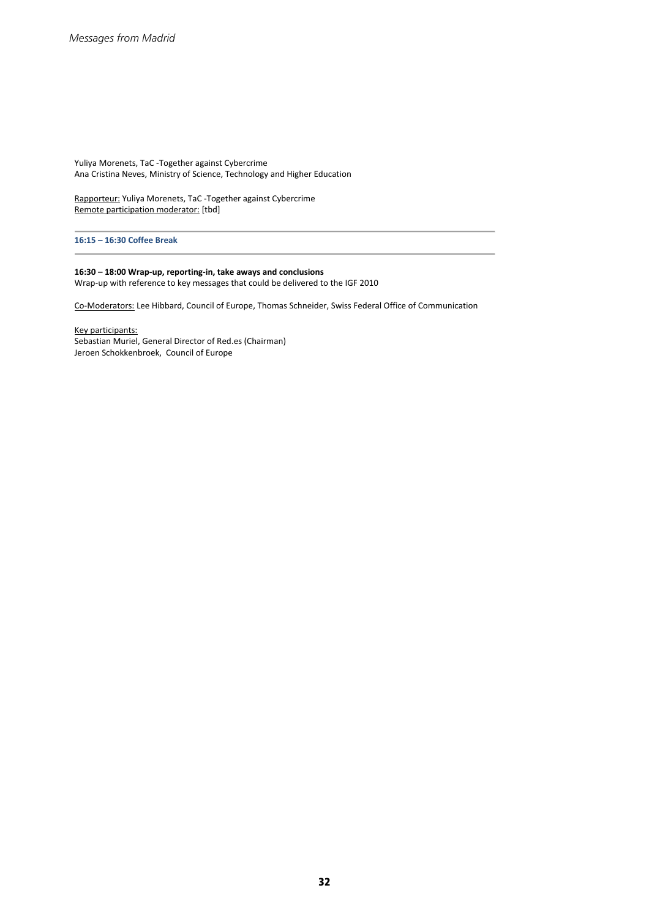Yuliya Morenets, TaC -Together against Cybercrime Ana Cristina Neves, Ministry of Science, Technology and Higher Education

Rapporteur: Yuliya Morenets, TaC -Together against Cybercrime Remote participation moderator: [tbd]

**16:15 – 16:30 Coffee Break**

#### **16:30 – 18:00 Wrap-up, reporting-in, take aways and conclusions**

Wrap-up with reference to key messages that could be delivered to the IGF 2010

Co-Moderators: Lee Hibbard, Council of Europe, Thomas Schneider, Swiss Federal Office of Communication

Key participants: Sebastian Muriel, General Director of Red.es (Chairman) Jeroen Schokkenbroek, Council of Europe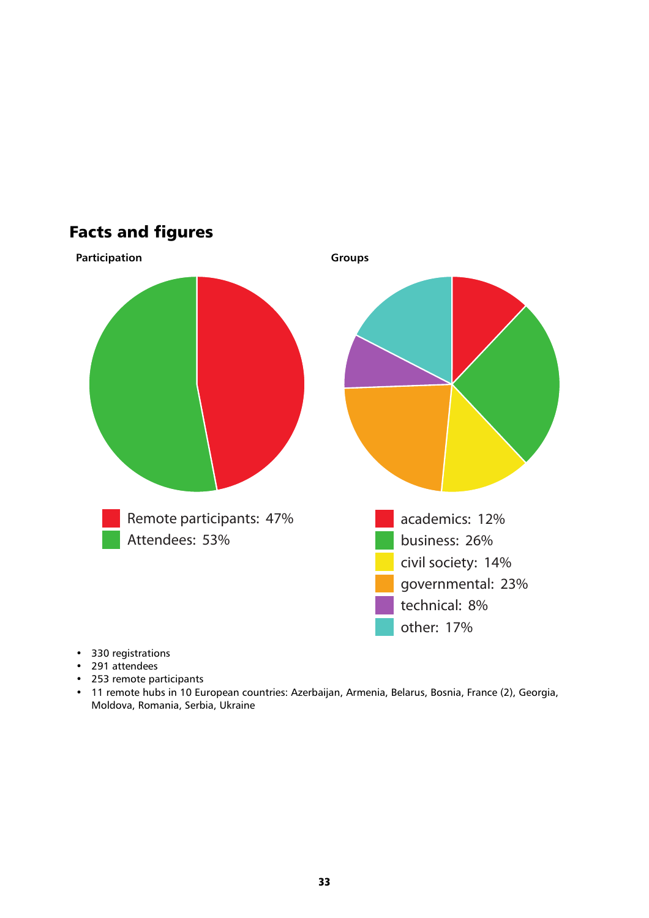

Facts and figures

- 330 registrations
- 291 attendees
- 253 remote participants
- 11 remote hubs in 10 European countries: Azerbaijan, Armenia, Belarus, Bosnia, France (2), Georgia, Moldova, Romania, Serbia, Ukraine